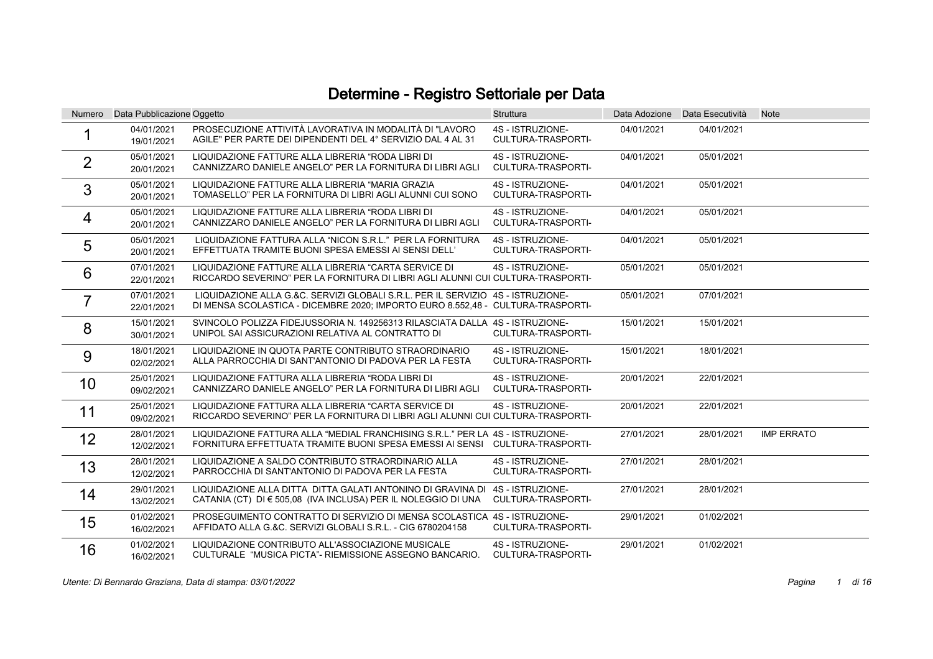## Determine - Registro Settoriale per Data

| Numero         | Data Pubblicazione Oggetto |                                                                                                                                                                    | <b>Struttura</b>                              |            | Data Adozione Data Esecutività | <b>Note</b>       |
|----------------|----------------------------|--------------------------------------------------------------------------------------------------------------------------------------------------------------------|-----------------------------------------------|------------|--------------------------------|-------------------|
|                | 04/01/2021<br>19/01/2021   | PROSECUZIONE ATTIVITÀ LAVORATIVA IN MODALITÀ DI "LAVORO<br>AGILE" PER PARTE DEI DIPENDENTI DEL 4° SERVIZIO DAL 4 AL 31                                             | 4S - ISTRUZIONE-<br>CULTURA-TRASPORTI-        | 04/01/2021 | 04/01/2021                     |                   |
| $\overline{2}$ | 05/01/2021<br>20/01/2021   | LIQUIDAZIONE FATTURE ALLA LIBRERIA "RODA LIBRI DI<br>CANNIZZARO DANIELE ANGELO" PER LA FORNITURA DI LIBRI AGLI                                                     | 4S - ISTRUZIONE-<br>CULTURA-TRASPORTI-        | 04/01/2021 | 05/01/2021                     |                   |
| 3              | 05/01/2021<br>20/01/2021   | LIQUIDAZIONE FATTURE ALLA LIBRERIA "MARIA GRAZIA<br>TOMASELLO" PER LA FORNITURA DI LIBRI AGLI ALUNNI CUI SONO                                                      | 4S - ISTRUZIONE-<br>CULTURA-TRASPORTI-        | 04/01/2021 | 05/01/2021                     |                   |
| 4              | 05/01/2021<br>20/01/2021   | LIQUIDAZIONE FATTURE ALLA LIBRERIA "RODA LIBRI DI<br>CANNIZZARO DANIELE ANGELO" PER LA FORNITURA DI LIBRI AGLI                                                     | 4S - ISTRUZIONE-<br>CULTURA-TRASPORTI-        | 04/01/2021 | 05/01/2021                     |                   |
| 5              | 05/01/2021<br>20/01/2021   | LIQUIDAZIONE FATTURA ALLA "NICON S.R.L." PER LA FORNITURA<br>EFFETTUATA TRAMITE BUONI SPESA EMESSI AI SENSI DELL'                                                  | 4S - ISTRUZIONE-<br>CULTURA-TRASPORTI-        | 04/01/2021 | 05/01/2021                     |                   |
| 6              | 07/01/2021<br>22/01/2021   | LIQUIDAZIONE FATTURE ALLA LIBRERIA "CARTA SERVICE DI<br>RICCARDO SEVERINO" PER LA FORNITURA DI LIBRI AGLI ALUNNI CUI CULTURA-TRASPORTI-                            | 4S - ISTRUZIONE-                              | 05/01/2021 | 05/01/2021                     |                   |
| $\overline{7}$ | 07/01/2021<br>22/01/2021   | LIQUIDAZIONE ALLA G.&C. SERVIZI GLOBALI S.R.L. PER IL SERVIZIO 4S - ISTRUZIONE-<br>DI MENSA SCOLASTICA - DICEMBRE 2020; IMPORTO EURO 8.552,48 - CULTURA-TRASPORTI- |                                               | 05/01/2021 | 07/01/2021                     |                   |
| 8              | 15/01/2021<br>30/01/2021   | SVINCOLO POLIZZA FIDEJUSSORIA N. 149256313 RILASCIATA DALLA 4S - ISTRUZIONE-<br>UNIPOL SAI ASSICURAZIONI RELATIVA AL CONTRATTO DI                                  | CULTURA-TRASPORTI-                            | 15/01/2021 | 15/01/2021                     |                   |
| 9              | 18/01/2021<br>02/02/2021   | LIQUIDAZIONE IN QUOTA PARTE CONTRIBUTO STRAORDINARIO<br>ALLA PARROCCHIA DI SANT'ANTONIO DI PADOVA PER LA FESTA                                                     | 4S - ISTRUZIONE-<br>CULTURA-TRASPORTI-        | 15/01/2021 | 18/01/2021                     |                   |
| 10             | 25/01/2021<br>09/02/2021   | LIQUIDAZIONE FATTURA ALLA LIBRERIA "RODA LIBRI DI<br>CANNIZZARO DANIELE ANGELO" PER LA FORNITURA DI LIBRI AGLI                                                     | 4S - ISTRUZIONE-<br>CULTURA-TRASPORTI-        | 20/01/2021 | 22/01/2021                     |                   |
| 11             | 25/01/2021<br>09/02/2021   | LIQUIDAZIONE FATTURA ALLA LIBRERIA "CARTA SERVICE DI<br>RICCARDO SEVERINO" PER LA FORNITURA DI LIBRI AGLI ALUNNI CUI CULTURA-TRASPORTI-                            | 4S - ISTRUZIONE-                              | 20/01/2021 | 22/01/2021                     |                   |
| 12             | 28/01/2021<br>12/02/2021   | LIQUIDAZIONE FATTURA ALLA "MEDIAL FRANCHISING S.R.L." PER LA 4S - ISTRUZIONE-<br>FORNITURA EFFETTUATA TRAMITE BUONI SPESA EMESSI AI SENSI CULTURA-TRASPORTI-       |                                               | 27/01/2021 | 28/01/2021                     | <b>IMP ERRATO</b> |
| 13             | 28/01/2021<br>12/02/2021   | LIQUIDAZIONE A SALDO CONTRIBUTO STRAORDINARIO ALLA<br>PARROCCHIA DI SANT'ANTONIO DI PADOVA PER LA FESTA                                                            | 4S - ISTRUZIONE-<br>CULTURA-TRASPORTI-        | 27/01/2021 | 28/01/2021                     |                   |
| 14             | 29/01/2021<br>13/02/2021   | LIQUIDAZIONE ALLA DITTA DITTA GALATI ANTONINO DI GRAVINA DI 4S - ISTRUZIONE-<br>CATANIA (CT) DI € 505,08 (IVA INCLUSA) PER IL NOLEGGIO DI UNA                      | CULTURA-TRASPORTI-                            | 27/01/2021 | 28/01/2021                     |                   |
| 15             | 01/02/2021<br>16/02/2021   | PROSEGUIMENTO CONTRATTO DI SERVIZIO DI MENSA SCOLASTICA 4S - ISTRUZIONE-<br>AFFIDATO ALLA G.&C. SERVIZI GLOBALI S.R.L. - CIG 6780204158                            | CULTURA-TRASPORTI-                            | 29/01/2021 | 01/02/2021                     |                   |
| 16             | 01/02/2021<br>16/02/2021   | LIQUIDAZIONE CONTRIBUTO ALL'ASSOCIAZIONE MUSICALE<br>CULTURALE "MUSICA PICTA"- RIEMISSIONE ASSEGNO BANCARIO.                                                       | 4S - ISTRUZIONE-<br><b>CULTURA-TRASPORTI-</b> | 29/01/2021 | 01/02/2021                     |                   |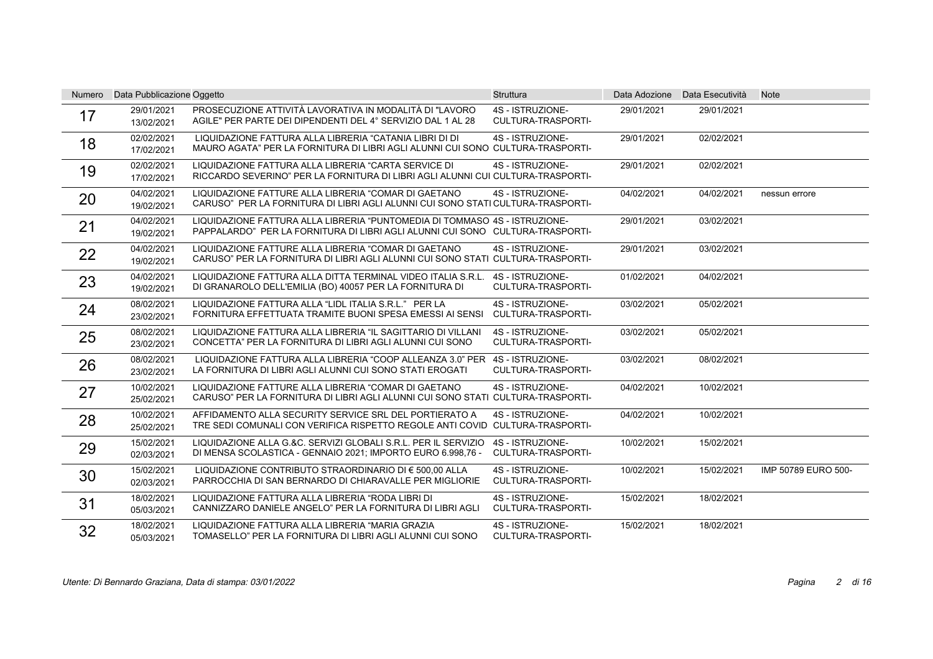| <b>Numero</b> | Data Pubblicazione Oggetto |                                                                                                                                                             | <b>Struttura</b>                              | Data Adozione | Data Esecutività | <b>Note</b>         |
|---------------|----------------------------|-------------------------------------------------------------------------------------------------------------------------------------------------------------|-----------------------------------------------|---------------|------------------|---------------------|
| 17            | 29/01/2021<br>13/02/2021   | PROSECUZIONE ATTIVITÀ LAVORATIVA IN MODALITÀ DI "LAVORO<br>AGILE" PER PARTE DEI DIPENDENTI DEL 4° SERVIZIO DAL 1 AL 28                                      | 4S - ISTRUZIONE-<br><b>CULTURA-TRASPORTI-</b> | 29/01/2021    | 29/01/2021       |                     |
| 18            | 02/02/2021<br>17/02/2021   | LIQUIDAZIONE FATTURA ALLA LIBRERIA "CATANIA LIBRI DI DI<br>MAURO AGATA" PER LA FORNITURA DI LIBRI AGLI ALUNNI CUI SONO CULTURA-TRASPORTI-                   | 4S - ISTRUZIONE-                              | 29/01/2021    | 02/02/2021       |                     |
| 19            | 02/02/2021<br>17/02/2021   | LIQUIDAZIONE FATTURA ALLA LIBRERIA "CARTA SERVICE DI<br>RICCARDO SEVERINO" PER LA FORNITURA DI LIBRI AGLI ALUNNI CUI CULTURA-TRASPORTI-                     | 4S - ISTRUZIONE-                              | 29/01/2021    | 02/02/2021       |                     |
| 20            | 04/02/2021<br>19/02/2021   | LIQUIDAZIONE FATTURE ALLA LIBRERIA "COMAR DI GAETANO<br>CARUSO" PER LA FORNITURA DI LIBRI AGLI ALUNNI CUI SONO STATI CULTURA-TRASPORTI-                     | 4S - ISTRUZIONE-                              | 04/02/2021    | 04/02/2021       | nessun errore       |
| 21            | 04/02/2021<br>19/02/2021   | LIQUIDAZIONE FATTURA ALLA LIBRERIA "PUNTOMEDIA DI TOMMASO 4S - ISTRUZIONE-<br>PAPPALARDO" PER LA FORNITURA DI LIBRI AGLI ALUNNI CUI SONO CULTURA-TRASPORTI- |                                               | 29/01/2021    | 03/02/2021       |                     |
| 22            | 04/02/2021<br>19/02/2021   | LIQUIDAZIONE FATTURE ALLA LIBRERIA "COMAR DI GAETANO<br>CARUSO" PER LA FORNITURA DI LIBRI AGLI ALUNNI CUI SONO STATI CULTURA-TRASPORTI-                     | 4S - ISTRUZIONE-                              | 29/01/2021    | 03/02/2021       |                     |
| 23            | 04/02/2021<br>19/02/2021   | LIQUIDAZIONE FATTURA ALLA DITTA TERMINAL VIDEO ITALIA S.R.L.<br>DI GRANAROLO DELL'EMILIA (BO) 40057 PER LA FORNITURA DI                                     | 4S - ISTRUZIONE-<br><b>CULTURA-TRASPORTI-</b> | 01/02/2021    | 04/02/2021       |                     |
| 24            | 08/02/2021<br>23/02/2021   | LIQUIDAZIONE FATTURA ALLA "LIDL ITALIA S.R.L." PER LA<br>FORNITURA EFFETTUATA TRAMITE BUONI SPESA EMESSI AI SENSI                                           | 4S - ISTRUZIONE-<br>CULTURA-TRASPORTI-        | 03/02/2021    | 05/02/2021       |                     |
| 25            | 08/02/2021<br>23/02/2021   | LIQUIDAZIONE FATTURA ALLA LIBRERIA "IL SAGITTARIO DI VILLANI<br>CONCETTA" PER LA FORNITURA DI LIBRI AGLI ALUNNI CUI SONO                                    | 4S - ISTRUZIONE-<br><b>CULTURA-TRASPORTI-</b> | 03/02/2021    | 05/02/2021       |                     |
| 26            | 08/02/2021<br>23/02/2021   | LIQUIDAZIONE FATTURA ALLA LIBRERIA "COOP ALLEANZA 3.0" PER 4S - ISTRUZIONE-<br>LA FORNITURA DI LIBRI AGLI ALUNNI CUI SONO STATI EROGATI                     | <b>CULTURA-TRASPORTI-</b>                     | 03/02/2021    | 08/02/2021       |                     |
| 27            | 10/02/2021<br>25/02/2021   | LIQUIDAZIONE FATTURE ALLA LIBRERIA "COMAR DI GAETANO<br>CARUSO" PER LA FORNITURA DI LIBRI AGLI ALUNNI CUI SONO STATI CULTURA-TRASPORTI-                     | 4S - ISTRUZIONE-                              | 04/02/2021    | 10/02/2021       |                     |
| 28            | 10/02/2021<br>25/02/2021   | AFFIDAMENTO ALLA SECURITY SERVICE SRL DEL PORTIERATO A<br>TRE SEDI COMUNALI CON VERIFICA RISPETTO REGOLE ANTI COVID CULTURA-TRASPORTI-                      | 4S - ISTRUZIONE-                              | 04/02/2021    | 10/02/2021       |                     |
| 29            | 15/02/2021<br>02/03/2021   | LIQUIDAZIONE ALLA G.&C. SERVIZI GLOBALI S.R.L. PER IL SERVIZIO<br>DI MENSA SCOLASTICA - GENNAIO 2021; IMPORTO EURO 6.998.76 -                               | 4S - ISTRUZIONE-<br><b>CULTURA-TRASPORTI-</b> | 10/02/2021    | 15/02/2021       |                     |
| 30            | 15/02/2021<br>02/03/2021   | LIQUIDAZIONE CONTRIBUTO STRAORDINARIO DI € 500.00 ALLA<br>PARROCCHIA DI SAN BERNARDO DI CHIARAVALLE PER MIGLIORIE                                           | 4S - ISTRUZIONE-<br><b>CULTURA-TRASPORTI-</b> | 10/02/2021    | 15/02/2021       | IMP 50789 EURO 500- |
| 31            | 18/02/2021<br>05/03/2021   | LIQUIDAZIONE FATTURA ALLA LIBRERIA "RODA LIBRI DI<br>CANNIZZARO DANIELE ANGELO" PER LA FORNITURA DI LIBRI AGLI                                              | 4S - ISTRUZIONE-<br>CULTURA-TRASPORTI-        | 15/02/2021    | 18/02/2021       |                     |
| 32            | 18/02/2021<br>05/03/2021   | LIQUIDAZIONE FATTURA ALLA LIBRERIA "MARIA GRAZIA<br>TOMASELLO" PER LA FORNITURA DI LIBRI AGLI ALUNNI CUI SONO                                               | 4S - ISTRUZIONE-<br>CULTURA-TRASPORTI-        | 15/02/2021    | 18/02/2021       |                     |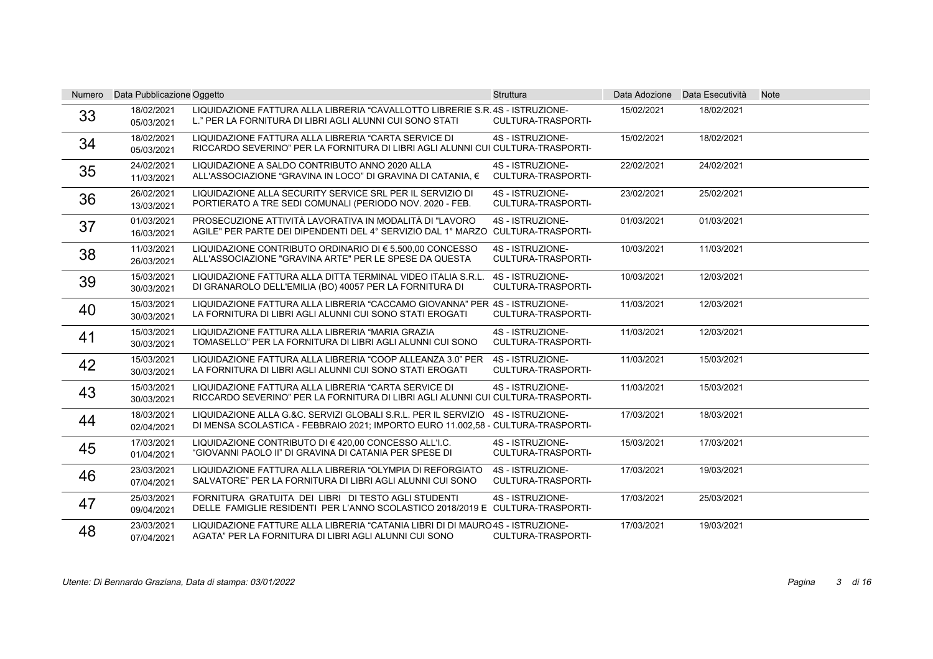| Numero | Data Pubblicazione Oggetto |                                                                                                                                                                     | <b>Struttura</b>                              |            | Data Adozione Data Esecutività | <b>Note</b> |
|--------|----------------------------|---------------------------------------------------------------------------------------------------------------------------------------------------------------------|-----------------------------------------------|------------|--------------------------------|-------------|
| 33     | 18/02/2021<br>05/03/2021   | LIQUIDAZIONE FATTURA ALLA LIBRERIA "CAVALLOTTO LIBRERIE S.R. 4S - ISTRUZIONE-<br>L." PER LA FORNITURA DI LIBRI AGLI ALUNNI CUI SONO STATI                           | <b>CULTURA-TRASPORTI-</b>                     | 15/02/2021 | 18/02/2021                     |             |
| 34     | 18/02/2021<br>05/03/2021   | LIQUIDAZIONE FATTURA ALLA LIBRERIA "CARTA SERVICE DI<br>RICCARDO SEVERINO" PER LA FORNITURA DI LIBRI AGLI ALUNNI CUI CULTURA-TRASPORTI-                             | 4S - ISTRUZIONE-                              | 15/02/2021 | 18/02/2021                     |             |
| 35     | 24/02/2021<br>11/03/2021   | LIQUIDAZIONE A SALDO CONTRIBUTO ANNO 2020 ALLA<br>ALL'ASSOCIAZIONE "GRAVINA IN LOCO" DI GRAVINA DI CATANIA. €                                                       | 4S - ISTRUZIONE-<br>CULTURA-TRASPORTI-        | 22/02/2021 | 24/02/2021                     |             |
| 36     | 26/02/2021<br>13/03/2021   | LIQUIDAZIONE ALLA SECURITY SERVICE SRL PER IL SERVIZIO DI<br>PORTIERATO A TRE SEDI COMUNALI (PERIODO NOV. 2020 - FEB.                                               | 4S - ISTRUZIONE-<br><b>CULTURA-TRASPORTI-</b> | 23/02/2021 | 25/02/2021                     |             |
| 37     | 01/03/2021<br>16/03/2021   | PROSECUZIONE ATTIVITÀ LAVORATIVA IN MODALITÀ DI "LAVORO<br>AGILE" PER PARTE DEI DIPENDENTI DEL 4° SERVIZIO DAL 1° MARZO CULTURA-TRASPORTI-                          | 4S - ISTRUZIONE-                              | 01/03/2021 | 01/03/2021                     |             |
| 38     | 11/03/2021<br>26/03/2021   | LIQUIDAZIONE CONTRIBUTO ORDINARIO DI € 5.500,00 CONCESSO<br>ALL'ASSOCIAZIONE "GRAVINA ARTE" PER LE SPESE DA QUESTA                                                  | 4S - ISTRUZIONE-<br>CULTURA-TRASPORTI-        | 10/03/2021 | 11/03/2021                     |             |
| 39     | 15/03/2021<br>30/03/2021   | LIQUIDAZIONE FATTURA ALLA DITTA TERMINAL VIDEO ITALIA S.R.L.<br>DI GRANAROLO DELL'EMILIA (BO) 40057 PER LA FORNITURA DI                                             | 4S - ISTRUZIONE-<br>CULTURA-TRASPORTI-        | 10/03/2021 | 12/03/2021                     |             |
| 40     | 15/03/2021<br>30/03/2021   | LIQUIDAZIONE FATTURA ALLA LIBRERIA "CACCAMO GIOVANNA" PER 4S - ISTRUZIONE-<br>LA FORNITURA DI LIBRI AGLI ALUNNI CUI SONO STATI EROGATI                              | CULTURA-TRASPORTI-                            | 11/03/2021 | 12/03/2021                     |             |
| 41     | 15/03/2021<br>30/03/2021   | LIQUIDAZIONE FATTURA ALLA LIBRERIA "MARIA GRAZIA<br>TOMASELLO" PER LA FORNITURA DI LIBRI AGLI ALUNNI CUI SONO                                                       | 4S - ISTRUZIONE-<br><b>CULTURA-TRASPORTI-</b> | 11/03/2021 | 12/03/2021                     |             |
| 42     | 15/03/2021<br>30/03/2021   | LIQUIDAZIONE FATTURA ALLA LIBRERIA "COOP ALLEANZA 3.0" PER<br>LA FORNITURA DI LIBRI AGLI ALUNNI CUI SONO STATI EROGATI                                              | 4S - ISTRUZIONE-<br>CULTURA-TRASPORTI-        | 11/03/2021 | 15/03/2021                     |             |
| 43     | 15/03/2021<br>30/03/2021   | LIQUIDAZIONE FATTURA ALLA LIBRERIA "CARTA SERVICE DI<br>RICCARDO SEVERINO" PER LA FORNITURA DI LIBRI AGLI ALUNNI CUI CULTURA-TRASPORTI-                             | 4S - ISTRUZIONE-                              | 11/03/2021 | 15/03/2021                     |             |
| 44     | 18/03/2021<br>02/04/2021   | LIQUIDAZIONE ALLA G.&C. SERVIZI GLOBALI S.R.L. PER IL SERVIZIO 4S - ISTRUZIONE-<br>DI MENSA SCOLASTICA - FEBBRAIO 2021; IMPORTO EURO 11.002,58 - CULTURA-TRASPORTI- |                                               | 17/03/2021 | 18/03/2021                     |             |
| 45     | 17/03/2021<br>01/04/2021   | LIQUIDAZIONE CONTRIBUTO DI € 420.00 CONCESSO ALL'I.C.<br>"GIOVANNI PAOLO II" DI GRAVINA DI CATANIA PER SPESE DI                                                     | 4S - ISTRUZIONE-<br><b>CULTURA-TRASPORTI-</b> | 15/03/2021 | 17/03/2021                     |             |
| 46     | 23/03/2021<br>07/04/2021   | LIQUIDAZIONE FATTURA ALLA LIBRERIA "OLYMPIA DI REFORGIATO<br>SALVATORE" PER LA FORNITURA DI LIBRI AGLI ALUNNI CUI SONO                                              | 4S - ISTRUZIONE-<br>CULTURA-TRASPORTI-        | 17/03/2021 | 19/03/2021                     |             |
| 47     | 25/03/2021<br>09/04/2021   | FORNITURA GRATUITA DEI LIBRI DI TESTO AGLI STUDENTI<br>DELLE FAMIGLIE RESIDENTI PER L'ANNO SCOLASTICO 2018/2019 E CULTURA-TRASPORTI-                                | 4S - ISTRUZIONE-                              | 17/03/2021 | 25/03/2021                     |             |
| 48     | 23/03/2021<br>07/04/2021   | LIQUIDAZIONE FATTURE ALLA LIBRERIA "CATANIA LIBRI DI DI MAURO 4S - ISTRUZIONE-<br>AGATA" PER LA FORNITURA DI LIBRI AGLI ALUNNI CUI SONO                             | CULTURA-TRASPORTI-                            | 17/03/2021 | 19/03/2021                     |             |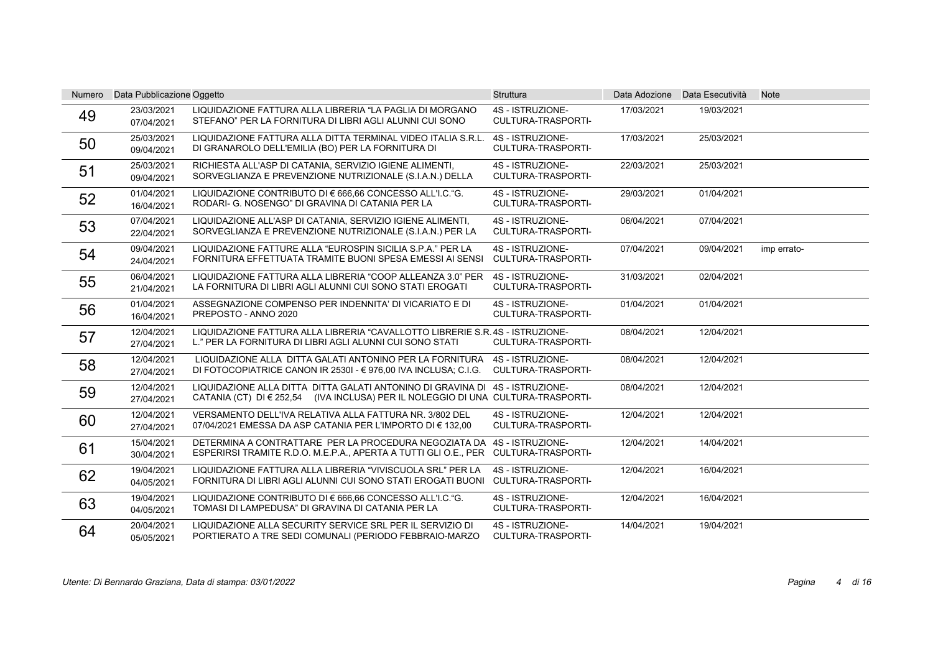| <b>Numero</b> | Data Pubblicazione Oggetto |                                                                                                                                                                  | <b>Struttura</b>                              |            | Data Adozione Data Esecutività | <b>Note</b> |
|---------------|----------------------------|------------------------------------------------------------------------------------------------------------------------------------------------------------------|-----------------------------------------------|------------|--------------------------------|-------------|
| 49            | 23/03/2021<br>07/04/2021   | LIQUIDAZIONE FATTURA ALLA LIBRERIA "LA PAGLIA DI MORGANO<br>STEFANO" PER LA FORNITURA DI LIBRI AGLI ALUNNI CUI SONO                                              | 4S - ISTRUZIONE-<br>CULTURA-TRASPORTI-        | 17/03/2021 | 19/03/2021                     |             |
| 50            | 25/03/2021<br>09/04/2021   | LIQUIDAZIONE FATTURA ALLA DITTA TERMINAL VIDEO ITALIA S.R.L.<br>DI GRANAROLO DELL'EMILIA (BO) PER LA FORNITURA DI                                                | 4S - ISTRUZIONE-<br><b>CULTURA-TRASPORTI-</b> | 17/03/2021 | 25/03/2021                     |             |
| 51            | 25/03/2021<br>09/04/2021   | RICHIESTA ALL'ASP DI CATANIA, SERVIZIO IGIENE ALIMENTI,<br>SORVEGLIANZA E PREVENZIONE NUTRIZIONALE (S.I.A.N.) DELLA                                              | 4S - ISTRUZIONE-<br><b>CULTURA-TRASPORTI-</b> | 22/03/2021 | 25/03/2021                     |             |
| 52            | 01/04/2021<br>16/04/2021   | LIQUIDAZIONE CONTRIBUTO DI € 666.66 CONCESSO ALL'I.C."G.<br>RODARI- G. NOSENGO" DI GRAVINA DI CATANIA PER LA                                                     | 4S - ISTRUZIONE-<br>CULTURA-TRASPORTI-        | 29/03/2021 | 01/04/2021                     |             |
| 53            | 07/04/2021<br>22/04/2021   | LIQUIDAZIONE ALL'ASP DI CATANIA, SERVIZIO IGIENE ALIMENTI,<br>SORVEGLIANZA E PREVENZIONE NUTRIZIONALE (S.I.A.N.) PER LA                                          | 4S - ISTRUZIONE-<br>CULTURA-TRASPORTI-        | 06/04/2021 | 07/04/2021                     |             |
| 54            | 09/04/2021<br>24/04/2021   | LIQUIDAZIONE FATTURE ALLA "EUROSPIN SICILIA S.P.A." PER LA<br>FORNITURA EFFETTUATA TRAMITE BUONI SPESA EMESSI AI SENSI                                           | 4S - ISTRUZIONE-<br><b>CULTURA-TRASPORTI-</b> | 07/04/2021 | 09/04/2021                     | imp errato- |
| 55            | 06/04/2021<br>21/04/2021   | LIQUIDAZIONE FATTURA ALLA LIBRERIA "COOP ALLEANZA 3.0" PER<br>LA FORNITURA DI LIBRI AGLI ALUNNI CUI SONO STATI EROGATI                                           | 4S - ISTRUZIONE-<br>CULTURA-TRASPORTI-        | 31/03/2021 | 02/04/2021                     |             |
| 56            | 01/04/2021<br>16/04/2021   | ASSEGNAZIONE COMPENSO PER INDENNITA' DI VICARIATO E DI<br>PREPOSTO - ANNO 2020                                                                                   | 4S - ISTRUZIONE-<br>CULTURA-TRASPORTI-        | 01/04/2021 | 01/04/2021                     |             |
| 57            | 12/04/2021<br>27/04/2021   | LIQUIDAZIONE FATTURA ALLA LIBRERIA "CAVALLOTTO LIBRERIE S.R.4S - ISTRUZIONE-<br>L." PER LA FORNITURA DI LIBRI AGLI ALUNNI CUI SONO STATI                         | <b>CULTURA-TRASPORTI-</b>                     | 08/04/2021 | 12/04/2021                     |             |
| 58            | 12/04/2021<br>27/04/2021   | LIQUIDAZIONE ALLA DITTA GALATI ANTONINO PER LA FORNITURA 4S - ISTRUZIONE-<br>DI FOTOCOPIATRICE CANON IR 2530I - € 976,00 IVA INCLUSA; C.I.G.                     | <b>CULTURA-TRASPORTI-</b>                     | 08/04/2021 | 12/04/2021                     |             |
| 59            | 12/04/2021<br>27/04/2021   | LIQUIDAZIONE ALLA DITTA DITTA GALATI ANTONINO DI GRAVINA DI 4S - ISTRUZIONE-<br>CATANIA (CT) DI € 252,54 (IVA INCLUSA) PER IL NOLEGGIO DI UNA CULTURA-TRASPORTI- |                                               | 08/04/2021 | 12/04/2021                     |             |
| 60            | 12/04/2021<br>27/04/2021   | VERSAMENTO DELL'IVA RELATIVA ALLA FATTURA NR. 3/802 DEL<br>07/04/2021 EMESSA DA ASP CATANIA PER L'IMPORTO DI € 132,00                                            | 4S - ISTRUZIONE-<br><b>CULTURA-TRASPORTI-</b> | 12/04/2021 | 12/04/2021                     |             |
| 61            | 15/04/2021<br>30/04/2021   | DETERMINA A CONTRATTARE PER LA PROCEDURA NEGOZIATA DA 4S - ISTRUZIONE-<br>ESPERIRSI TRAMITE R.D.O. M.E.P.A., APERTA A TUTTI GLI O.E., PER CULTURA-TRASPORTI-     |                                               | 12/04/2021 | 14/04/2021                     |             |
| 62            | 19/04/2021<br>04/05/2021   | LIQUIDAZIONE FATTURA ALLA LIBRERIA "VIVISCUOLA SRL" PER LA<br>FORNITURA DI LIBRI AGLI ALUNNI CUI SONO STATI EROGATI BUONI CULTURA-TRASPORTI-                     | 4S - ISTRUZIONE-                              | 12/04/2021 | 16/04/2021                     |             |
| 63            | 19/04/2021<br>04/05/2021   | LIQUIDAZIONE CONTRIBUTO DI € 666.66 CONCESSO ALL'I.C."G.<br>TOMASI DI LAMPEDUSA" DI GRAVINA DI CATANIA PER LA                                                    | 4S - ISTRUZIONE-<br>CULTURA-TRASPORTI-        | 12/04/2021 | 16/04/2021                     |             |
| 64            | 20/04/2021<br>05/05/2021   | LIQUIDAZIONE ALLA SECURITY SERVICE SRL PER IL SERVIZIO DI<br>PORTIERATO A TRE SEDI COMUNALI (PERIODO FEBBRAIO-MARZO                                              | 4S - ISTRUZIONE-<br>CULTURA-TRASPORTI-        | 14/04/2021 | 19/04/2021                     |             |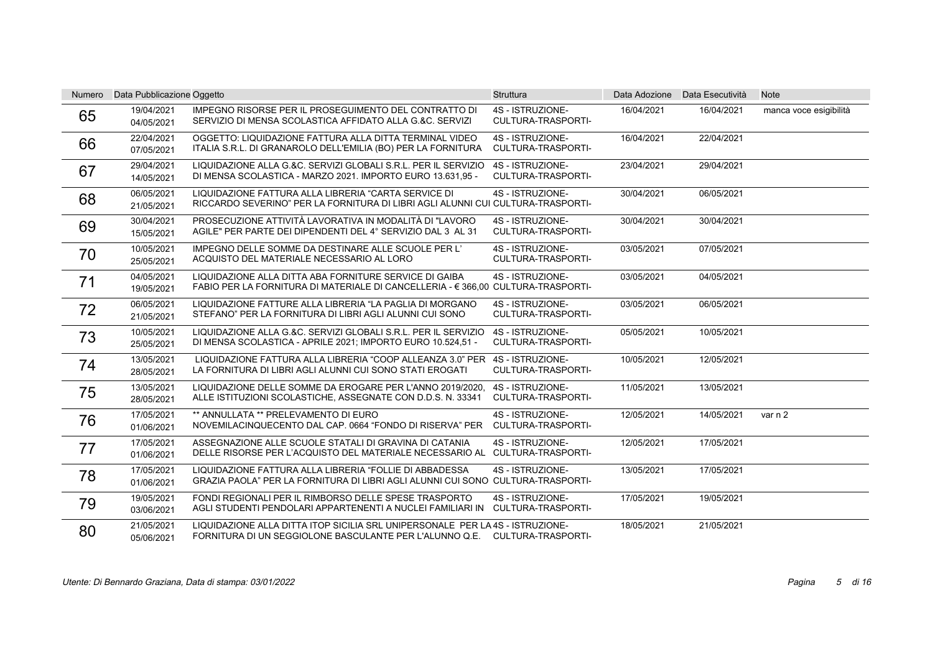| <b>Numero</b> | Data Pubblicazione Oggetto |                                                                                                                                                             | <b>Struttura</b>                              |            | Data Adozione Data Esecutività | <b>Note</b>            |
|---------------|----------------------------|-------------------------------------------------------------------------------------------------------------------------------------------------------------|-----------------------------------------------|------------|--------------------------------|------------------------|
| 65            | 19/04/2021<br>04/05/2021   | <b>IMPEGNO RISORSE PER IL PROSEGUIMENTO DEL CONTRATTO DI</b><br>SERVIZIO DI MENSA SCOLASTICA AFFIDATO ALLA G.&C. SERVIZI                                    | 4S - ISTRUZIONE-<br>CULTURA-TRASPORTI-        | 16/04/2021 | 16/04/2021                     | manca voce esigibilità |
| 66            | 22/04/2021<br>07/05/2021   | OGGETTO: LIQUIDAZIONE FATTURA ALLA DITTA TERMINAL VIDEO<br>ITALIA S.R.L. DI GRANAROLO DELL'EMILIA (BO) PER LA FORNITURA                                     | 4S - ISTRUZIONE-<br><b>CULTURA-TRASPORTI-</b> | 16/04/2021 | 22/04/2021                     |                        |
| 67            | 29/04/2021<br>14/05/2021   | LIQUIDAZIONE ALLA G.&C. SERVIZI GLOBALI S.R.L. PER IL SERVIZIO<br>DI MENSA SCOLASTICA - MARZO 2021. IMPORTO EURO 13.631.95 -                                | 4S - ISTRUZIONE-<br>CULTURA-TRASPORTI-        | 23/04/2021 | 29/04/2021                     |                        |
| 68            | 06/05/2021<br>21/05/2021   | LIQUIDAZIONE FATTURA ALLA LIBRERIA "CARTA SERVICE DI<br>RICCARDO SEVERINO" PER LA FORNITURA DI LIBRI AGLI ALUNNI CUI CULTURA-TRASPORTI-                     | 4S - ISTRUZIONE-                              | 30/04/2021 | 06/05/2021                     |                        |
| 69            | 30/04/2021<br>15/05/2021   | PROSECUZIONE ATTIVITÀ LAVORATIVA IN MODALITÀ DI "LAVORO<br>AGILE" PER PARTE DEI DIPENDENTI DEL 4° SERVIZIO DAL 3 AL 31                                      | 4S - ISTRUZIONE-<br><b>CULTURA-TRASPORTI-</b> | 30/04/2021 | 30/04/2021                     |                        |
| 70            | 10/05/2021<br>25/05/2021   | IMPEGNO DELLE SOMME DA DESTINARE ALLE SCUOLE PER L'<br>ACQUISTO DEL MATERIALE NECESSARIO AL LORO                                                            | 4S - ISTRUZIONE-<br><b>CULTURA-TRASPORTI-</b> | 03/05/2021 | 07/05/2021                     |                        |
| 71            | 04/05/2021<br>19/05/2021   | LIQUIDAZIONE ALLA DITTA ABA FORNITURE SERVICE DI GAIBA<br>FABIO PER LA FORNITURA DI MATERIALE DI CANCELLERIA - € 366,00 CULTURA-TRASPORTI-                  | 4S - ISTRUZIONE-                              | 03/05/2021 | 04/05/2021                     |                        |
| 72            | 06/05/2021<br>21/05/2021   | LIQUIDAZIONE FATTURE ALLA LIBRERIA "LA PAGLIA DI MORGANO<br>STEFANO" PER LA FORNITURA DI LIBRI AGLI ALUNNI CUI SONO                                         | 4S - ISTRUZIONE-<br>CULTURA-TRASPORTI-        | 03/05/2021 | 06/05/2021                     |                        |
| 73            | 10/05/2021<br>25/05/2021   | LIQUIDAZIONE ALLA G.&C. SERVIZI GLOBALI S.R.L. PER IL SERVIZIO<br>DI MENSA SCOLASTICA - APRILE 2021; IMPORTO EURO 10.524,51 -                               | 4S - ISTRUZIONE-<br>CULTURA-TRASPORTI-        | 05/05/2021 | 10/05/2021                     |                        |
| 74            | 13/05/2021<br>28/05/2021   | LIQUIDAZIONE FATTURA ALLA LIBRERIA "COOP ALLEANZA 3.0" PER 4S - ISTRUZIONE-<br>LA FORNITURA DI LIBRI AGLI ALUNNI CUI SONO STATI EROGATI                     | <b>CULTURA-TRASPORTI-</b>                     | 10/05/2021 | 12/05/2021                     |                        |
| 75            | 13/05/2021<br>28/05/2021   | LIQUIDAZIONE DELLE SOMME DA EROGARE PER L'ANNO 2019/2020.<br>ALLE ISTITUZIONI SCOLASTICHE, ASSEGNATE CON D.D.S. N. 33341                                    | 4S - ISTRUZIONE-<br><b>CULTURA-TRASPORTI-</b> | 11/05/2021 | 13/05/2021                     |                        |
| 76            | 17/05/2021<br>01/06/2021   | ** ANNULLATA ** PRELEVAMENTO DI EURO<br>NOVEMILACINQUECENTO DAL CAP. 0664 "FONDO DI RISERVA" PER                                                            | 4S - ISTRUZIONE-<br>CULTURA-TRASPORTI-        | 12/05/2021 | 14/05/2021                     | var n 2                |
| 77            | 17/05/2021<br>01/06/2021   | ASSEGNAZIONE ALLE SCUOLE STATALI DI GRAVINA DI CATANIA<br>DELLE RISORSE PER L'ACQUISTO DEL MATERIALE NECESSARIO AL CULTURA-TRASPORTI-                       | 4S - ISTRUZIONE-                              | 12/05/2021 | 17/05/2021                     |                        |
| 78            | 17/05/2021<br>01/06/2021   | LIQUIDAZIONE FATTURA ALLA LIBRERIA "FOLLIE DI ABBADESSA<br>GRAZIA PAOLA" PER LA FORNITURA DI LIBRI AGLI ALUNNI CUI SONO CULTURA-TRASPORTI-                  | 4S - ISTRUZIONE-                              | 13/05/2021 | 17/05/2021                     |                        |
| 79            | 19/05/2021<br>03/06/2021   | FONDI REGIONALI PER IL RIMBORSO DELLE SPESE TRASPORTO<br>AGLI STUDENTI PENDOLARI APPARTENENTI A NUCLEI FAMILIARI IN CULTURA-TRASPORTI-                      | 4S - ISTRUZIONE-                              | 17/05/2021 | 19/05/2021                     |                        |
| 80            | 21/05/2021<br>05/06/2021   | LIQUIDAZIONE ALLA DITTA ITOP SICILIA SRL UNIPERSONALE PER LA 4S - ISTRUZIONE-<br>FORNITURA DI UN SEGGIOLONE BASCULANTE PER L'ALUNNO Q.E. CULTURA-TRASPORTI- |                                               | 18/05/2021 | 21/05/2021                     |                        |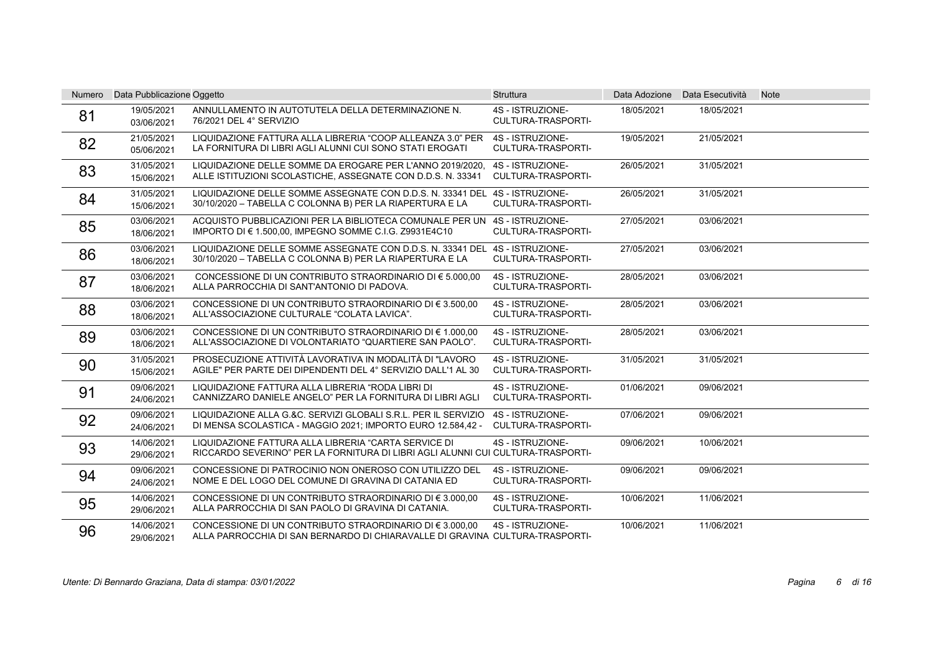| <b>Numero</b> | Data Pubblicazione Oggetto |                                                                                                                                          | <b>Struttura</b>                              |            | Data Adozione Data Esecutività | <b>Note</b> |
|---------------|----------------------------|------------------------------------------------------------------------------------------------------------------------------------------|-----------------------------------------------|------------|--------------------------------|-------------|
| 81            | 19/05/2021<br>03/06/2021   | ANNULLAMENTO IN AUTOTUTELA DELLA DETERMINAZIONE N.<br>76/2021 DEL 4° SERVIZIO                                                            | 4S - ISTRUZIONE-<br><b>CULTURA-TRASPORTI-</b> | 18/05/2021 | 18/05/2021                     |             |
| 82            | 21/05/2021<br>05/06/2021   | LIQUIDAZIONE FATTURA ALLA LIBRERIA "COOP ALLEANZA 3.0" PER<br>LA FORNITURA DI LIBRI AGLI ALUNNI CUI SONO STATI EROGATI                   | 4S - ISTRUZIONE-<br>CULTURA-TRASPORTI-        | 19/05/2021 | 21/05/2021                     |             |
| 83            | 31/05/2021<br>15/06/2021   | LIQUIDAZIONE DELLE SOMME DA EROGARE PER L'ANNO 2019/2020.<br>ALLE ISTITUZIONI SCOLASTICHE, ASSEGNATE CON D.D.S. N. 33341                 | 4S - ISTRUZIONE-<br><b>CULTURA-TRASPORTI-</b> | 26/05/2021 | 31/05/2021                     |             |
| 84            | 31/05/2021<br>15/06/2021   | LIQUIDAZIONE DELLE SOMME ASSEGNATE CON D.D.S. N. 33341 DEL 4S - ISTRUZIONE-<br>30/10/2020 - TABELLA C COLONNA B) PER LA RIAPERTURA E LA  | CULTURA-TRASPORTI-                            | 26/05/2021 | 31/05/2021                     |             |
| 85            | 03/06/2021<br>18/06/2021   | ACQUISTO PUBBLICAZIONI PER LA BIBLIOTECA COMUNALE PER UN 4S - ISTRUZIONE-<br>IMPORTO DI € 1.500,00, IMPEGNO SOMME C.I.G. Z9931E4C10      | CULTURA-TRASPORTI-                            | 27/05/2021 | 03/06/2021                     |             |
| 86            | 03/06/2021<br>18/06/2021   | LIQUIDAZIONE DELLE SOMME ASSEGNATE CON D.D.S. N. 33341 DEL 4S - ISTRUZIONE-<br>30/10/2020 - TABELLA C COLONNA B) PER LA RIAPERTURA E LA  | <b>CULTURA-TRASPORTI-</b>                     | 27/05/2021 | 03/06/2021                     |             |
| 87            | 03/06/2021<br>18/06/2021   | CONCESSIONE DI UN CONTRIBUTO STRAORDINARIO DI $\epsilon$ 5.000.00<br>ALLA PARROCCHIA DI SANT'ANTONIO DI PADOVA.                          | 4S - ISTRUZIONE-<br>CULTURA-TRASPORTI-        | 28/05/2021 | 03/06/2021                     |             |
| 88            | 03/06/2021<br>18/06/2021   | CONCESSIONE DI UN CONTRIBUTO STRAORDINARIO DI $\in$ 3.500.00<br>ALL'ASSOCIAZIONE CULTURALE "COLATA LAVICA".                              | 4S - ISTRUZIONE-<br>CULTURA-TRASPORTI-        | 28/05/2021 | 03/06/2021                     |             |
| 89            | 03/06/2021<br>18/06/2021   | CONCESSIONE DI UN CONTRIBUTO STRAORDINARIO DI € 1.000.00<br>ALL'ASSOCIAZIONE DI VOLONTARIATO "QUARTIERE SAN PAOLO".                      | 4S - ISTRUZIONE-<br><b>CULTURA-TRASPORTI-</b> | 28/05/2021 | 03/06/2021                     |             |
| 90            | 31/05/2021<br>15/06/2021   | PROSECUZIONE ATTIVITÀ LAVORATIVA IN MODALITÀ DI "LAVORO<br>AGILE" PER PARTE DEI DIPENDENTI DEL 4° SERVIZIO DALL'1 AL 30                  | 4S - ISTRUZIONE-<br><b>CULTURA-TRASPORTI-</b> | 31/05/2021 | 31/05/2021                     |             |
| 91            | 09/06/2021<br>24/06/2021   | LIQUIDAZIONE FATTURA ALLA LIBRERIA "RODA LIBRI DI<br>CANNIZZARO DANIELE ANGELO" PER LA FORNITURA DI LIBRI AGLI                           | 4S - ISTRUZIONE-<br>CULTURA-TRASPORTI-        | 01/06/2021 | 09/06/2021                     |             |
| 92            | 09/06/2021<br>24/06/2021   | LIQUIDAZIONE ALLA G.&C. SERVIZI GLOBALI S.R.L. PER IL SERVIZIO<br>DI MENSA SCOLASTICA - MAGGIO 2021; IMPORTO EURO 12.584,42 -            | 4S - ISTRUZIONE-<br>CULTURA-TRASPORTI-        | 07/06/2021 | 09/06/2021                     |             |
| 93            | 14/06/2021<br>29/06/2021   | LIQUIDAZIONE FATTURA ALLA LIBRERIA "CARTA SERVICE DI<br>RICCARDO SEVERINO" PER LA FORNITURA DI LIBRI AGLI ALUNNI CUI CULTURA-TRASPORTI-  | 4S - ISTRUZIONE-                              | 09/06/2021 | 10/06/2021                     |             |
| 94            | 09/06/2021<br>24/06/2021   | CONCESSIONE DI PATROCINIO NON ONEROSO CON UTILIZZO DEL<br>NOME E DEL LOGO DEL COMUNE DI GRAVINA DI CATANIA ED                            | 4S - ISTRUZIONE-<br>CULTURA-TRASPORTI-        | 09/06/2021 | 09/06/2021                     |             |
| 95            | 14/06/2021<br>29/06/2021   | CONCESSIONE DI UN CONTRIBUTO STRAORDINARIO DI $\epsilon$ 3.000.00<br>ALLA PARROCCHIA DI SAN PAOLO DI GRAVINA DI CATANIA.                 | 4S - ISTRUZIONE-<br>CULTURA-TRASPORTI-        | 10/06/2021 | 11/06/2021                     |             |
| 96            | 14/06/2021<br>29/06/2021   | CONCESSIONE DI UN CONTRIBUTO STRAORDINARIO DI € 3.000,00<br>ALLA PARROCCHIA DI SAN BERNARDO DI CHIARAVALLE DI GRAVINA CULTURA-TRASPORTI- | 4S - ISTRUZIONE-                              | 10/06/2021 | 11/06/2021                     |             |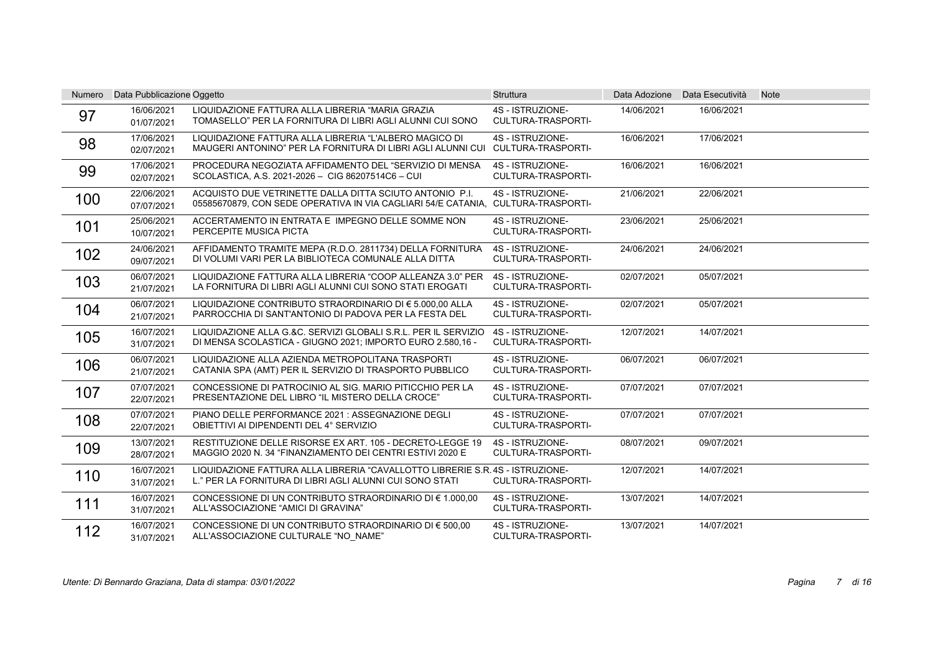| <b>Numero</b> | Data Pubblicazione Oggetto |                                                                                                                                             | <b>Struttura</b>                              |            | Data Adozione Data Esecutività | <b>Note</b> |
|---------------|----------------------------|---------------------------------------------------------------------------------------------------------------------------------------------|-----------------------------------------------|------------|--------------------------------|-------------|
| 97            | 16/06/2021<br>01/07/2021   | LIQUIDAZIONE FATTURA ALLA LIBRERIA "MARIA GRAZIA<br>TOMASELLO" PER LA FORNITURA DI LIBRI AGLI ALUNNI CUI SONO                               | 4S - ISTRUZIONE-<br>CULTURA-TRASPORTI-        | 14/06/2021 | 16/06/2021                     |             |
| 98            | 17/06/2021<br>02/07/2021   | LIQUIDAZIONE FATTURA ALLA LIBRERIA "L'ALBERO MAGICO DI<br>MAUGERI ANTONINO" PER LA FORNITURA DI LIBRI AGLI ALUNNI CUI CULTURA-TRASPORTI-    | 4S - ISTRUZIONE-                              | 16/06/2021 | 17/06/2021                     |             |
| 99            | 17/06/2021<br>02/07/2021   | PROCEDURA NEGOZIATA AFFIDAMENTO DEL "SERVIZIO DI MENSA<br>SCOLASTICA, A.S. 2021-2026 - CIG 86207514C6 - CUI                                 | 4S - ISTRUZIONE-<br><b>CULTURA-TRASPORTI-</b> | 16/06/2021 | 16/06/2021                     |             |
| 100           | 22/06/2021<br>07/07/2021   | ACQUISTO DUE VETRINETTE DALLA DITTA SCIUTO ANTONIO P.I.<br>05585670879, CON SEDE OPERATIVA IN VIA CAGLIARI 54/E CATANIA, CULTURA-TRASPORTI- | 4S - ISTRUZIONE-                              | 21/06/2021 | 22/06/2021                     |             |
| 101           | 25/06/2021<br>10/07/2021   | ACCERTAMENTO IN ENTRATA E IMPEGNO DELLE SOMME NON<br>PERCEPITE MUSICA PICTA                                                                 | 4S - ISTRUZIONE-<br>CULTURA-TRASPORTI-        | 23/06/2021 | 25/06/2021                     |             |
| 102           | 24/06/2021<br>09/07/2021   | AFFIDAMENTO TRAMITE MEPA (R.D.O. 2811734) DELLA FORNITURA<br>DI VOLUMI VARI PER LA BIBLIOTECA COMUNALE ALLA DITTA                           | 4S - ISTRUZIONE-<br>CULTURA-TRASPORTI-        | 24/06/2021 | 24/06/2021                     |             |
| 103           | 06/07/2021<br>21/07/2021   | LIQUIDAZIONE FATTURA ALLA LIBRERIA "COOP ALLEANZA 3.0" PER<br>LA FORNITURA DI LIBRI AGLI ALUNNI CUI SONO STATI EROGATI                      | 4S - ISTRUZIONE-<br>CULTURA-TRASPORTI-        | 02/07/2021 | 05/07/2021                     |             |
| 104           | 06/07/2021<br>21/07/2021   | LIQUIDAZIONE CONTRIBUTO STRAORDINARIO DI € 5.000.00 ALLA<br>PARROCCHIA DI SANT'ANTONIO DI PADOVA PER LA FESTA DEL                           | 4S - ISTRUZIONE-<br>CULTURA-TRASPORTI-        | 02/07/2021 | 05/07/2021                     |             |
| 105           | 16/07/2021<br>31/07/2021   | LIQUIDAZIONE ALLA G.&C. SERVIZI GLOBALI S.R.L. PER IL SERVIZIO<br>DI MENSA SCOLASTICA - GIUGNO 2021; IMPORTO EURO 2.580,16 -                | 4S - ISTRUZIONE-<br><b>CULTURA-TRASPORTI-</b> | 12/07/2021 | 14/07/2021                     |             |
| 106           | 06/07/2021<br>21/07/2021   | LIQUIDAZIONE ALLA AZIENDA METROPOLITANA TRASPORTI<br>CATANIA SPA (AMT) PER IL SERVIZIO DI TRASPORTO PUBBLICO                                | 4S - ISTRUZIONE-<br>CULTURA-TRASPORTI-        | 06/07/2021 | 06/07/2021                     |             |
| 107           | 07/07/2021<br>22/07/2021   | CONCESSIONE DI PATROCINIO AL SIG. MARIO PITICCHIO PER LA<br>PRESENTAZIONE DEL LIBRO "IL MISTERO DELLA CROCE"                                | 4S - ISTRUZIONE-<br>CULTURA-TRASPORTI-        | 07/07/2021 | 07/07/2021                     |             |
| 108           | 07/07/2021<br>22/07/2021   | PIANO DELLE PERFORMANCE 2021 : ASSEGNAZIONE DEGLI<br>OBIETTIVI AI DIPENDENTI DEL 4° SERVIZIO                                                | 4S - ISTRUZIONE-<br><b>CULTURA-TRASPORTI-</b> | 07/07/2021 | 07/07/2021                     |             |
| 109           | 13/07/2021<br>28/07/2021   | RESTITUZIONE DELLE RISORSE EX ART. 105 - DECRETO-LEGGE 19<br>MAGGIO 2020 N. 34 "FINANZIAMENTO DEI CENTRI ESTIVI 2020 E                      | 4S - ISTRUZIONE-<br><b>CULTURA-TRASPORTI-</b> | 08/07/2021 | 09/07/2021                     |             |
| 110           | 16/07/2021<br>31/07/2021   | LIQUIDAZIONE FATTURA ALLA LIBRERIA "CAVALLOTTO LIBRERIE S.R.4S - ISTRUZIONE-<br>L." PER LA FORNITURA DI LIBRI AGLI ALUNNI CUI SONO STATI    | <b>CULTURA-TRASPORTI-</b>                     | 12/07/2021 | 14/07/2021                     |             |
| 111           | 16/07/2021<br>31/07/2021   | CONCESSIONE DI UN CONTRIBUTO STRAORDINARIO DI € 1.000,00<br>ALL'ASSOCIAZIONE "AMICI DI GRAVINA"                                             | 4S - ISTRUZIONE-<br>CULTURA-TRASPORTI-        | 13/07/2021 | 14/07/2021                     |             |
| 112           | 16/07/2021<br>31/07/2021   | CONCESSIONE DI UN CONTRIBUTO STRAORDINARIO DI € 500.00<br>ALL'ASSOCIAZIONE CULTURALE "NO NAME"                                              | 4S - ISTRUZIONE-<br>CULTURA-TRASPORTI-        | 13/07/2021 | 14/07/2021                     |             |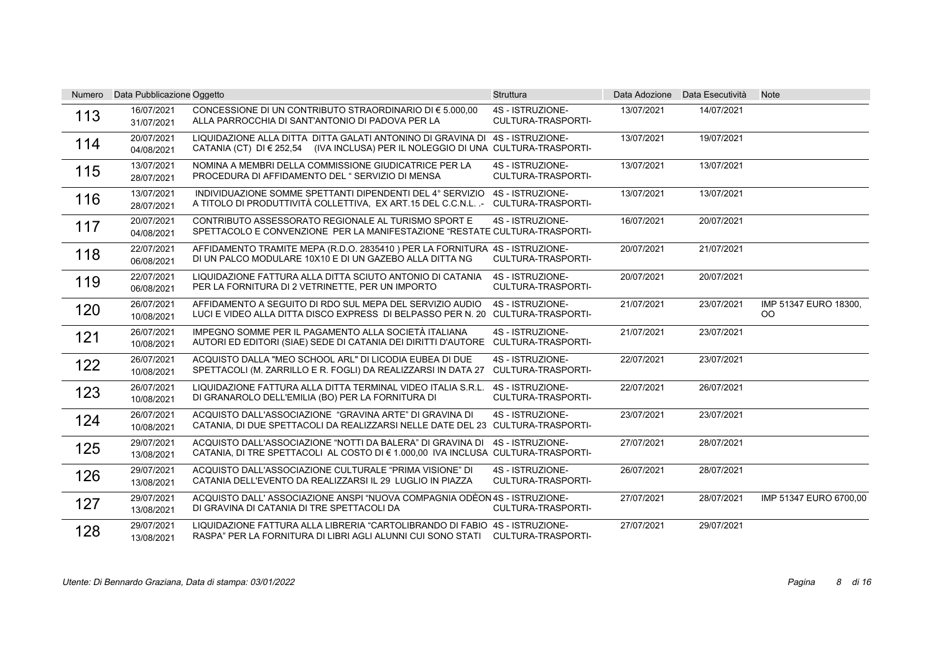| <b>Numero</b> | Data Pubblicazione Oggetto |                                                                                                                                                                  | <b>Struttura</b>                              | Data Adozione | Data Esecutività | <b>Note</b>                  |
|---------------|----------------------------|------------------------------------------------------------------------------------------------------------------------------------------------------------------|-----------------------------------------------|---------------|------------------|------------------------------|
| 113           | 16/07/2021<br>31/07/2021   | CONCESSIONE DI UN CONTRIBUTO STRAORDINARIO DI $\epsilon$ 5.000.00<br>ALLA PARROCCHIA DI SANT'ANTONIO DI PADOVA PER LA                                            | 4S - ISTRUZIONE-<br>CULTURA-TRASPORTI-        | 13/07/2021    | 14/07/2021       |                              |
| 114           | 20/07/2021<br>04/08/2021   | LIQUIDAZIONE ALLA DITTA DITTA GALATI ANTONINO DI GRAVINA DI 4S - ISTRUZIONE-<br>CATANIA (CT) DI € 252,54 (IVA INCLUSA) PER IL NOLEGGIO DI UNA CULTURA-TRASPORTI- |                                               | 13/07/2021    | 19/07/2021       |                              |
| 115           | 13/07/2021<br>28/07/2021   | NOMINA A MEMBRI DELLA COMMISSIONE GIUDICATRICE PER LA<br>PROCEDURA DI AFFIDAMENTO DEL "SERVIZIO DI MENSA                                                         | 4S - ISTRUZIONE-<br>CULTURA-TRASPORTI-        | 13/07/2021    | 13/07/2021       |                              |
| 116           | 13/07/2021<br>28/07/2021   | INDIVIDUAZIONE SOMME SPETTANTI DIPENDENTI DEL 4° SERVIZIO<br>A TITOLO DI PRODUTTIVITÀ COLLETTIVA, EX ART.15 DEL C.C.N.L. .-                                      | 4S - ISTRUZIONE-<br>CULTURA-TRASPORTI-        | 13/07/2021    | 13/07/2021       |                              |
| 117           | 20/07/2021<br>04/08/2021   | CONTRIBUTO ASSESSORATO REGIONALE AL TURISMO SPORT E<br>SPETTACOLO E CONVENZIONE PER LA MANIFESTAZIONE "RESTATE CULTURA-TRASPORTI-                                | 4S - ISTRUZIONE-                              | 16/07/2021    | 20/07/2021       |                              |
| 118           | 22/07/2021<br>06/08/2021   | AFFIDAMENTO TRAMITE MEPA (R.D.O. 2835410) PER LA FORNITURA 4S - ISTRUZIONE-<br>DI UN PALCO MODULARE 10X10 E DI UN GAZEBO ALLA DITTA NG                           | <b>CULTURA-TRASPORTI-</b>                     | 20/07/2021    | 21/07/2021       |                              |
| 119           | 22/07/2021<br>06/08/2021   | LIQUIDAZIONE FATTURA ALLA DITTA SCIUTO ANTONIO DI CATANIA<br>PER LA FORNITURA DI 2 VETRINETTE, PER UN IMPORTO                                                    | 4S - ISTRUZIONE-<br>CULTURA-TRASPORTI-        | 20/07/2021    | 20/07/2021       |                              |
| 120           | 26/07/2021<br>10/08/2021   | AFFIDAMENTO A SEGUITO DI RDO SUL MEPA DEL SERVIZIO AUDIO<br>LUCI E VIDEO ALLA DITTA DISCO EXPRESS DI BELPASSO PER N. 20 CULTURA-TRASPORTI-                       | 4S - ISTRUZIONE-                              | 21/07/2021    | 23/07/2021       | IMP 51347 EURO 18300.<br>OO. |
| 121           | 26/07/2021<br>10/08/2021   | IMPEGNO SOMME PER IL PAGAMENTO ALLA SOCIETÀ ITALIANA<br>AUTORI ED EDITORI (SIAE) SEDE DI CATANIA DEI DIRITTI D'AUTORE                                            | 4S - ISTRUZIONE-<br>CULTURA-TRASPORTI-        | 21/07/2021    | 23/07/2021       |                              |
| 122           | 26/07/2021<br>10/08/2021   | ACQUISTO DALLA "MEO SCHOOL ARL" DI LICODIA EUBEA DI DUE<br>SPETTACOLI (M. ZARRILLO E R. FOGLI) DA REALIZZARSI IN DATA 27                                         | 4S - ISTRUZIONE-<br><b>CULTURA-TRASPORTI-</b> | 22/07/2021    | 23/07/2021       |                              |
| 123           | 26/07/2021<br>10/08/2021   | LIQUIDAZIONE FATTURA ALLA DITTA TERMINAL VIDEO ITALIA S.R.L.<br>DI GRANAROLO DELL'EMILIA (BO) PER LA FORNITURA DI                                                | 4S - ISTRUZIONE-<br><b>CULTURA-TRASPORTI-</b> | 22/07/2021    | 26/07/2021       |                              |
| 124           | 26/07/2021<br>10/08/2021   | ACQUISTO DALL'ASSOCIAZIONE "GRAVINA ARTE" DI GRAVINA DI<br>CATANIA, DI DUE SPETTACOLI DA REALIZZARSI NELLE DATE DEL 23 CULTURA-TRASPORTI-                        | 4S - ISTRUZIONE-                              | 23/07/2021    | 23/07/2021       |                              |
| 125           | 29/07/2021<br>13/08/2021   | ACQUISTO DALL'ASSOCIAZIONE "NOTTI DA BALERA" DI GRAVINA DI<br>CATANIA, DI TRE SPETTACOLI AL COSTO DI € 1.000,00 IVA INCLUSA CULTURA-TRASPORTI-                   | 4S - ISTRUZIONE-                              | 27/07/2021    | 28/07/2021       |                              |
| 126           | 29/07/2021<br>13/08/2021   | ACQUISTO DALL'ASSOCIAZIONE CULTURALE "PRIMA VISIONE" DI<br>CATANIA DELL'EVENTO DA REALIZZARSI IL 29 LUGLIO IN PIAZZA                                             | 4S - ISTRUZIONE-<br><b>CULTURA-TRASPORTI-</b> | 26/07/2021    | 28/07/2021       |                              |
| 127           | 29/07/2021<br>13/08/2021   | ACQUISTO DALL' ASSOCIAZIONE ANSPI "NUOVA COMPAGNIA ODÈON 4S - ISTRUZIONE-<br>DI GRAVINA DI CATANIA DI TRE SPETTACOLI DA                                          | CULTURA-TRASPORTI-                            | 27/07/2021    | 28/07/2021       | IMP 51347 EURO 6700,00       |
| 128           | 29/07/2021<br>13/08/2021   | LIQUIDAZIONE FATTURA ALLA LIBRERIA "CARTOLIBRANDO DI FABIO 4S - ISTRUZIONE-<br>RASPA" PER LA FORNITURA DI LIBRI AGLI ALUNNI CUI SONO STATI CULTURA-TRASPORTI-    |                                               | 27/07/2021    | 29/07/2021       |                              |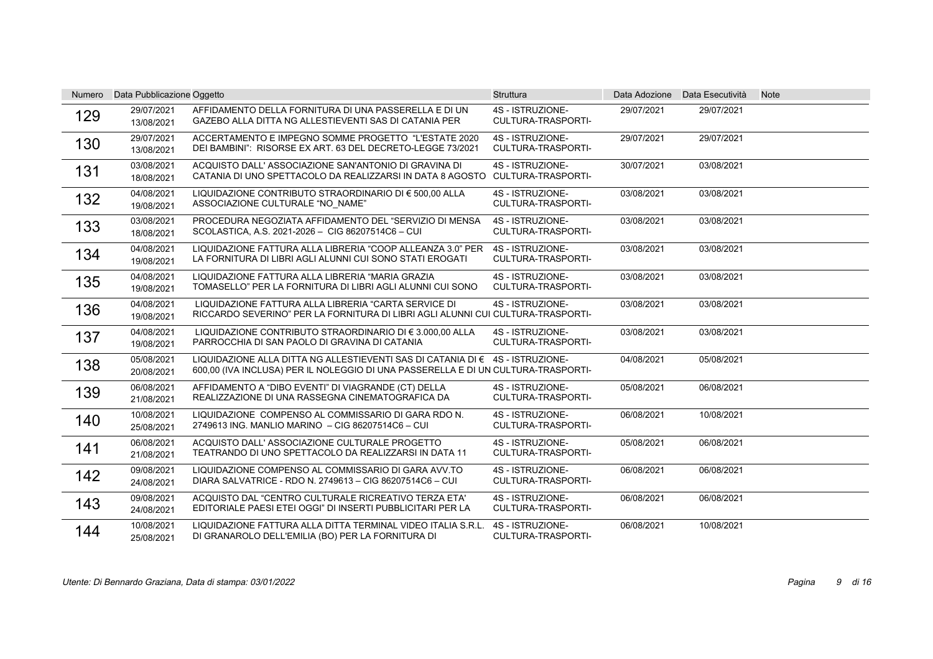| Numero | Data Pubblicazione Oggetto |                                                                                                                                                                    | <b>Struttura</b>                              |            | Data Adozione Data Esecutività | <b>Note</b> |
|--------|----------------------------|--------------------------------------------------------------------------------------------------------------------------------------------------------------------|-----------------------------------------------|------------|--------------------------------|-------------|
| 129    | 29/07/2021<br>13/08/2021   | AFFIDAMENTO DELLA FORNITURA DI UNA PASSERELLA E DI UN<br>GAZEBO ALLA DITTA NG ALLESTIEVENTI SAS DI CATANIA PER                                                     | 4S - ISTRUZIONE-<br><b>CULTURA-TRASPORTI-</b> | 29/07/2021 | 29/07/2021                     |             |
| 130    | 29/07/2021<br>13/08/2021   | ACCERTAMENTO E IMPEGNO SOMME PROGETTO "L'ESTATE 2020<br>DEI BAMBINI": RISORSE EX ART. 63 DEL DECRETO-LEGGE 73/2021                                                 | 4S - ISTRUZIONE-<br><b>CULTURA-TRASPORTI-</b> | 29/07/2021 | 29/07/2021                     |             |
| 131    | 03/08/2021<br>18/08/2021   | ACQUISTO DALL' ASSOCIAZIONE SAN'ANTONIO DI GRAVINA DI<br>CATANIA DI UNO SPETTACOLO DA REALIZZARSI IN DATA 8 AGOSTO                                                 | 4S - ISTRUZIONE-<br>CULTURA-TRASPORTI-        | 30/07/2021 | 03/08/2021                     |             |
| 132    | 04/08/2021<br>19/08/2021   | LIQUIDAZIONE CONTRIBUTO STRAORDINARIO DI € 500,00 ALLA<br>ASSOCIAZIONE CULTURALE "NO NAME"                                                                         | 4S - ISTRUZIONE-<br><b>CULTURA-TRASPORTI-</b> | 03/08/2021 | 03/08/2021                     |             |
| 133    | 03/08/2021<br>18/08/2021   | PROCEDURA NEGOZIATA AFFIDAMENTO DEL "SERVIZIO DI MENSA<br>SCOLASTICA, A.S. 2021-2026 - CIG 86207514C6 - CUI                                                        | 4S - ISTRUZIONE-<br><b>CULTURA-TRASPORTI-</b> | 03/08/2021 | 03/08/2021                     |             |
| 134    | 04/08/2021<br>19/08/2021   | LIQUIDAZIONE FATTURA ALLA LIBRERIA "COOP ALLEANZA 3.0" PER<br>LA FORNITURA DI LIBRI AGLI ALUNNI CUI SONO STATI EROGATI                                             | 4S - ISTRUZIONE-<br><b>CULTURA-TRASPORTI-</b> | 03/08/2021 | 03/08/2021                     |             |
| 135    | 04/08/2021<br>19/08/2021   | LIQUIDAZIONE FATTURA ALLA LIBRERIA "MARIA GRAZIA<br>TOMASELLO" PER LA FORNITURA DI LIBRI AGLI ALUNNI CUI SONO                                                      | 4S - ISTRUZIONE-<br>CULTURA-TRASPORTI-        | 03/08/2021 | 03/08/2021                     |             |
| 136    | 04/08/2021<br>19/08/2021   | LIQUIDAZIONE FATTURA ALLA LIBRERIA "CARTA SERVICE DI<br>RICCARDO SEVERINO" PER LA FORNITURA DI LIBRI AGLI ALUNNI CUI CULTURA-TRASPORTI-                            | 4S - ISTRUZIONE-                              | 03/08/2021 | 03/08/2021                     |             |
| 137    | 04/08/2021<br>19/08/2021   | LIQUIDAZIONE CONTRIBUTO STRAORDINARIO DI € 3.000.00 ALLA<br>PARROCCHIA DI SAN PAOLO DI GRAVINA DI CATANIA                                                          | 4S - ISTRUZIONE-<br>CULTURA-TRASPORTI-        | 03/08/2021 | 03/08/2021                     |             |
| 138    | 05/08/2021<br>20/08/2021   | LIQUIDAZIONE ALLA DITTA NG ALLESTIEVENTI SAS DI CATANIA DI € 4S - ISTRUZIONE-<br>600.00 (IVA INCLUSA) PER IL NOLEGGIO DI UNA PASSERELLA E DI UN CULTURA-TRASPORTI- |                                               | 04/08/2021 | 05/08/2021                     |             |
| 139    | 06/08/2021<br>21/08/2021   | AFFIDAMENTO A "DIBO EVENTI" DI VIAGRANDE (CT) DELLA<br>REALIZZAZIONE DI UNA RASSEGNA CINEMATOGRAFICA DA                                                            | 4S - ISTRUZIONE-<br><b>CULTURA-TRASPORTI-</b> | 05/08/2021 | 06/08/2021                     |             |
| 140    | 10/08/2021<br>25/08/2021   | LIQUIDAZIONE COMPENSO AL COMMISSARIO DI GARA RDO N.<br>2749613 ING. MANLIO MARINO - CIG 86207514C6 - CUI                                                           | 4S - ISTRUZIONE-<br>CULTURA-TRASPORTI-        | 06/08/2021 | 10/08/2021                     |             |
| 141    | 06/08/2021<br>21/08/2021   | ACQUISTO DALL' ASSOCIAZIONE CULTURALE PROGETTO<br>TEATRANDO DI UNO SPETTACOLO DA REALIZZARSI IN DATA 11                                                            | 4S - ISTRUZIONE-<br>CULTURA-TRASPORTI-        | 05/08/2021 | 06/08/2021                     |             |
| 142    | 09/08/2021<br>24/08/2021   | LIQUIDAZIONE COMPENSO AL COMMISSARIO DI GARA AVV.TO<br>DIARA SALVATRICE - RDO N. 2749613 - CIG 86207514C6 - CUI                                                    | 4S - ISTRUZIONE-<br>CULTURA-TRASPORTI-        | 06/08/2021 | 06/08/2021                     |             |
| 143    | 09/08/2021<br>24/08/2021   | ACQUISTO DAL "CENTRO CULTURALE RICREATIVO TERZA ETA"<br>EDITORIALE PAESI ETEI OGGI" DI INSERTI PUBBLICITARI PER LA                                                 | 4S - ISTRUZIONE-<br>CULTURA-TRASPORTI-        | 06/08/2021 | 06/08/2021                     |             |
| 144    | 10/08/2021<br>25/08/2021   | LIQUIDAZIONE FATTURA ALLA DITTA TERMINAL VIDEO ITALIA S.R.L.<br>DI GRANAROLO DELL'EMILIA (BO) PER LA FORNITURA DI                                                  | 4S - ISTRUZIONE-<br>CULTURA-TRASPORTI-        | 06/08/2021 | 10/08/2021                     |             |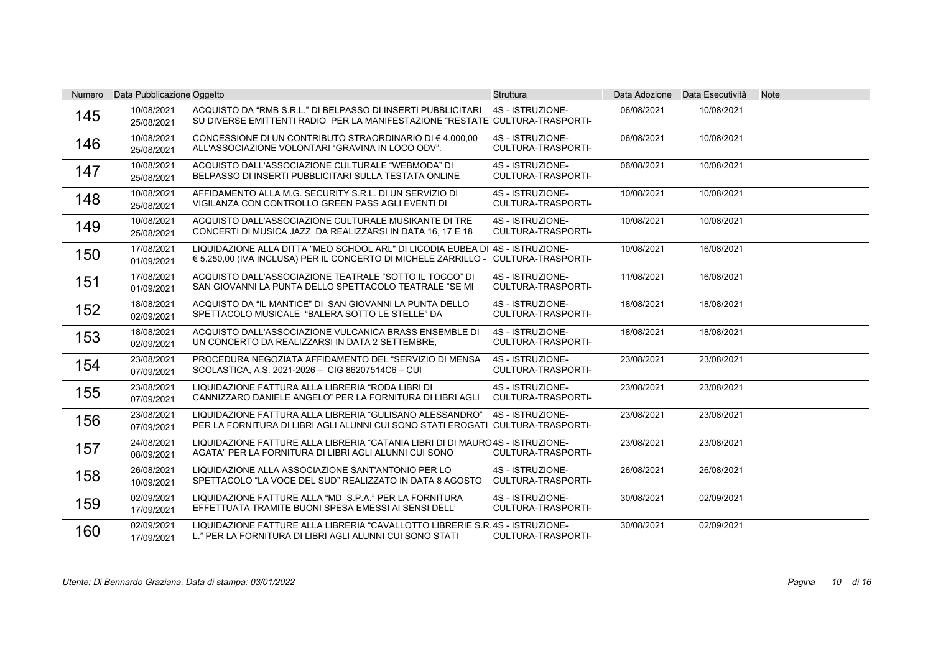| <b>Numero</b> | Data Pubblicazione Oggetto |                                                                                                                                                                    | <b>Struttura</b>                              |            | Data Adozione Data Esecutività | <b>Note</b> |
|---------------|----------------------------|--------------------------------------------------------------------------------------------------------------------------------------------------------------------|-----------------------------------------------|------------|--------------------------------|-------------|
| 145           | 10/08/2021<br>25/08/2021   | ACQUISTO DA "RMB S.R.L." DI BELPASSO DI INSERTI PUBBLICITARI<br>SU DIVERSE EMITTENTI RADIO PER LA MANIFESTAZIONE "RESTATE CULTURA-TRASPORTI-                       | 4S - ISTRUZIONE-                              | 06/08/2021 | 10/08/2021                     |             |
| 146           | 10/08/2021<br>25/08/2021   | CONCESSIONE DI UN CONTRIBUTO STRAORDINARIO DI $\epsilon$ 4.000.00<br>ALL'ASSOCIAZIONE VOLONTARI "GRAVINA IN LOCO ODV".                                             | 4S - ISTRUZIONE-<br>CULTURA-TRASPORTI-        | 06/08/2021 | 10/08/2021                     |             |
| 147           | 10/08/2021<br>25/08/2021   | ACQUISTO DALL'ASSOCIAZIONE CULTURALE "WEBMODA" DI<br>BELPASSO DI INSERTI PUBBLICITARI SULLA TESTATA ONLINE                                                         | 4S - ISTRUZIONE-<br><b>CULTURA-TRASPORTI-</b> | 06/08/2021 | 10/08/2021                     |             |
| 148           | 10/08/2021<br>25/08/2021   | AFFIDAMENTO ALLA M.G. SECURITY S.R.L. DI UN SERVIZIO DI<br>VIGILANZA CON CONTROLLO GREEN PASS AGLI EVENTI DI                                                       | 4S - ISTRUZIONE-<br>CULTURA-TRASPORTI-        | 10/08/2021 | 10/08/2021                     |             |
| 149           | 10/08/2021<br>25/08/2021   | ACQUISTO DALL'ASSOCIAZIONE CULTURALE MUSIKANTE DI TRE<br>CONCERTI DI MUSICA JAZZ DA REALIZZARSI IN DATA 16, 17 E 18                                                | 4S - ISTRUZIONE-<br><b>CULTURA-TRASPORTI-</b> | 10/08/2021 | 10/08/2021                     |             |
| 150           | 17/08/2021<br>01/09/2021   | LIQUIDAZIONE ALLA DITTA "MEO SCHOOL ARL" DI LICODIA EUBEA DI 4S - ISTRUZIONE-<br>€ 5.250,00 (IVA INCLUSA) PER IL CONCERTO DI MICHELE ZARRILLO - CULTURA-TRASPORTI- |                                               | 10/08/2021 | 16/08/2021                     |             |
| 151           | 17/08/2021<br>01/09/2021   | ACQUISTO DALL'ASSOCIAZIONE TEATRALE "SOTTO IL TOCCO" DI<br>SAN GIOVANNI LA PUNTA DELLO SPETTACOLO TEATRALE "SE MI                                                  | 4S - ISTRUZIONE-<br><b>CULTURA-TRASPORTI-</b> | 11/08/2021 | 16/08/2021                     |             |
| 152           | 18/08/2021<br>02/09/2021   | ACQUISTO DA "IL MANTICE" DI SAN GIOVANNI LA PUNTA DELLO<br>SPETTACOLO MUSICALE "BALERA SOTTO LE STELLE" DA                                                         | 4S - ISTRUZIONE-<br><b>CULTURA-TRASPORTI-</b> | 18/08/2021 | 18/08/2021                     |             |
| 153           | 18/08/2021<br>02/09/2021   | ACQUISTO DALL'ASSOCIAZIONE VULCANICA BRASS ENSEMBLE DI<br>UN CONCERTO DA REALIZZARSI IN DATA 2 SETTEMBRE,                                                          | 4S - ISTRUZIONE-<br><b>CULTURA-TRASPORTI-</b> | 18/08/2021 | 18/08/2021                     |             |
| 154           | 23/08/2021<br>07/09/2021   | PROCEDURA NEGOZIATA AFFIDAMENTO DEL "SERVIZIO DI MENSA<br>SCOLASTICA, A.S. 2021-2026 - CIG 86207514C6 - CUI                                                        | 4S - ISTRUZIONE-<br><b>CULTURA-TRASPORTI-</b> | 23/08/2021 | 23/08/2021                     |             |
| 155           | 23/08/2021<br>07/09/2021   | LIQUIDAZIONE FATTURA ALLA LIBRERIA "RODA LIBRI DI<br>CANNIZZARO DANIELE ANGELO" PER LA FORNITURA DI LIBRI AGLI                                                     | 4S - ISTRUZIONE-<br>CULTURA-TRASPORTI-        | 23/08/2021 | 23/08/2021                     |             |
| 156           | 23/08/2021<br>07/09/2021   | LIQUIDAZIONE FATTURA ALLA LIBRERIA "GULISANO ALESSANDRO"<br>PER LA FORNITURA DI LIBRI AGLI ALUNNI CUI SONO STATI EROGATI CULTURA-TRASPORTI-                        | 4S - ISTRUZIONE-                              | 23/08/2021 | 23/08/2021                     |             |
| 157           | 24/08/2021<br>08/09/2021   | LIQUIDAZIONE FATTURE ALLA LIBRERIA "CATANIA LIBRI DI DI MAURO 4S - ISTRUZIONE-<br>AGATA" PER LA FORNITURA DI LIBRI AGLI ALUNNI CUI SONO                            | CULTURA-TRASPORTI-                            | 23/08/2021 | 23/08/2021                     |             |
| 158           | 26/08/2021<br>10/09/2021   | LIQUIDAZIONE ALLA ASSOCIAZIONE SANT'ANTONIO PER LO<br>SPETTACOLO "LA VOCE DEL SUD" REALIZZATO IN DATA 8 AGOSTO                                                     | 4S - ISTRUZIONE-<br><b>CULTURA-TRASPORTI-</b> | 26/08/2021 | 26/08/2021                     |             |
| 159           | 02/09/2021<br>17/09/2021   | LIQUIDAZIONE FATTURE ALLA "MD S.P.A." PER LA FORNITURA<br>EFFETTUATA TRAMITE BUONI SPESA EMESSI AI SENSI DELL'                                                     | 4S - ISTRUZIONE-<br>CULTURA-TRASPORTI-        | 30/08/2021 | 02/09/2021                     |             |
| 160           | 02/09/2021<br>17/09/2021   | LIQUIDAZIONE FATTURE ALLA LIBRERIA "CAVALLOTTO LIBRERIE S.R. 4S - ISTRUZIONE-<br>L." PER LA FORNITURA DI LIBRI AGLI ALUNNI CUI SONO STATI                          | CULTURA-TRASPORTI-                            | 30/08/2021 | 02/09/2021                     |             |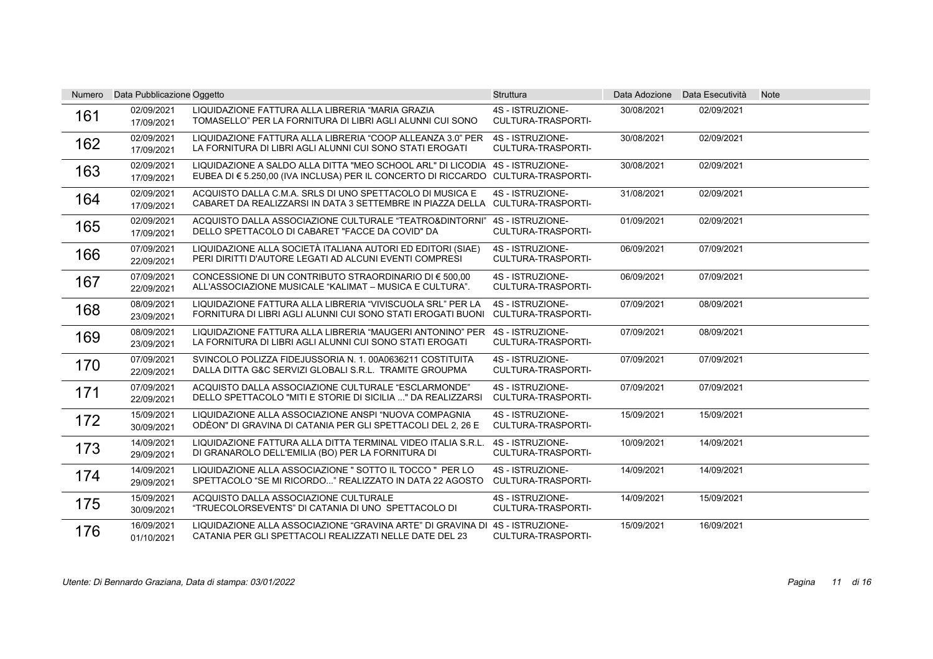| Numero | Data Pubblicazione Oggetto |                                                                                                                                                                  | <b>Struttura</b>                              |            | Data Adozione Data Esecutività | <b>Note</b> |
|--------|----------------------------|------------------------------------------------------------------------------------------------------------------------------------------------------------------|-----------------------------------------------|------------|--------------------------------|-------------|
| 161    | 02/09/2021<br>17/09/2021   | LIQUIDAZIONE FATTURA ALLA LIBRERIA "MARIA GRAZIA<br>TOMASELLO" PER LA FORNITURA DI LIBRI AGLI ALUNNI CUI SONO                                                    | 4S - ISTRUZIONE-<br>CULTURA-TRASPORTI-        | 30/08/2021 | 02/09/2021                     |             |
| 162    | 02/09/2021<br>17/09/2021   | LIQUIDAZIONE FATTURA ALLA LIBRERIA "COOP ALLEANZA 3.0" PER<br>LA FORNITURA DI LIBRI AGLI ALUNNI CUI SONO STATI EROGATI                                           | 4S - ISTRUZIONE-<br>CULTURA-TRASPORTI-        | 30/08/2021 | 02/09/2021                     |             |
| 163    | 02/09/2021<br>17/09/2021   | LIQUIDAZIONE A SALDO ALLA DITTA "MEO SCHOOL ARL" DI LICODIA 4S - ISTRUZIONE-<br>EUBEA DI € 5.250,00 (IVA INCLUSA) PER IL CONCERTO DI RICCARDO CULTURA-TRASPORTI- |                                               | 30/08/2021 | 02/09/2021                     |             |
| 164    | 02/09/2021<br>17/09/2021   | ACQUISTO DALLA C.M.A. SRLS DI UNO SPETTACOLO DI MUSICA E<br>CABARET DA REALIZZARSI IN DATA 3 SETTEMBRE IN PIAZZA DELLA CULTURA-TRASPORTI-                        | 4S - ISTRUZIONE-                              | 31/08/2021 | 02/09/2021                     |             |
| 165    | 02/09/2021<br>17/09/2021   | ACQUISTO DALLA ASSOCIAZIONE CULTURALE "TEATRO&DINTORNI"<br>DELLO SPETTACOLO DI CABARET "FACCE DA COVID" DA                                                       | 4S - ISTRUZIONE-<br><b>CULTURA-TRASPORTI-</b> | 01/09/2021 | 02/09/2021                     |             |
| 166    | 07/09/2021<br>22/09/2021   | LIQUIDAZIONE ALLA SOCIETÀ ITALIANA AUTORI ED EDITORI (SIAE)<br>PERI DIRITTI D'AUTORE LEGATI AD ALCUNI EVENTI COMPRESI                                            | 4S - ISTRUZIONE-<br><b>CULTURA-TRASPORTI-</b> | 06/09/2021 | 07/09/2021                     |             |
| 167    | 07/09/2021<br>22/09/2021   | CONCESSIONE DI UN CONTRIBUTO STRAORDINARIO DI € 500.00<br>ALL'ASSOCIAZIONE MUSICALE "KALIMAT – MUSICA E CULTURA".                                                | 4S - ISTRUZIONE-<br><b>CULTURA-TRASPORTI-</b> | 06/09/2021 | 07/09/2021                     |             |
| 168    | 08/09/2021<br>23/09/2021   | LIQUIDAZIONE FATTURA ALLA LIBRERIA "VIVISCUOLA SRL" PER LA<br>FORNITURA DI LIBRI AGLI ALUNNI CUI SONO STATI EROGATI BUONI                                        | 4S - ISTRUZIONE-<br>CULTURA-TRASPORTI-        | 07/09/2021 | 08/09/2021                     |             |
| 169    | 08/09/2021<br>23/09/2021   | LIQUIDAZIONE FATTURA ALLA LIBRERIA "MAUGERI ANTONINO" PER<br>LA FORNITURA DI LIBRI AGLI ALUNNI CUI SONO STATI EROGATI                                            | 4S - ISTRUZIONE-<br><b>CULTURA-TRASPORTI-</b> | 07/09/2021 | 08/09/2021                     |             |
| 170    | 07/09/2021<br>22/09/2021   | SVINCOLO POLIZZA FIDEJUSSORIA N. 1. 00A0636211 COSTITUITA<br>DALLA DITTA G&C SERVIZI GLOBALI S.R.L. TRAMITE GROUPMA                                              | 4S - ISTRUZIONE-<br><b>CULTURA-TRASPORTI-</b> | 07/09/2021 | 07/09/2021                     |             |
| 171    | 07/09/2021<br>22/09/2021   | ACQUISTO DALLA ASSOCIAZIONE CULTURALE "ESCLARMONDE"<br>DELLO SPETTACOLO "MITI E STORIE DI SICILIA " DA REALIZZARSI                                               | 4S - ISTRUZIONE-<br>CULTURA-TRASPORTI-        | 07/09/2021 | 07/09/2021                     |             |
| 172    | 15/09/2021<br>30/09/2021   | LIQUIDAZIONE ALLA ASSOCIAZIONE ANSPI "NUOVA COMPAGNIA<br>ODÈON" DI GRAVINA DI CATANIA PER GLI SPETTACOLI DEL 2, 26 E                                             | 4S - ISTRUZIONE-<br><b>CULTURA-TRASPORTI-</b> | 15/09/2021 | 15/09/2021                     |             |
| 173    | 14/09/2021<br>29/09/2021   | LIQUIDAZIONE FATTURA ALLA DITTA TERMINAL VIDEO ITALIA S.R.L.<br>DI GRANAROLO DELL'EMILIA (BO) PER LA FORNITURA DI                                                | 4S - ISTRUZIONE-<br><b>CULTURA-TRASPORTI-</b> | 10/09/2021 | 14/09/2021                     |             |
| 174    | 14/09/2021<br>29/09/2021   | LIQUIDAZIONE ALLA ASSOCIAZIONE " SOTTO IL TOCCO " PER LO<br>SPETTACOLO "SE MI RICORDO" REALIZZATO IN DATA 22 AGOSTO                                              | 4S - ISTRUZIONE-<br><b>CULTURA-TRASPORTI-</b> | 14/09/2021 | 14/09/2021                     |             |
| 175    | 15/09/2021<br>30/09/2021   | ACQUISTO DALLA ASSOCIAZIONE CULTURALE<br>"TRUECOLORSEVENTS" DI CATANIA DI UNO SPETTACOLO DI                                                                      | 4S - ISTRUZIONE-<br>CULTURA-TRASPORTI-        | 14/09/2021 | 15/09/2021                     |             |
| 176    | 16/09/2021<br>01/10/2021   | LIQUIDAZIONE ALLA ASSOCIAZIONE "GRAVINA ARTE" DI GRAVINA DI<br>CATANIA PER GLI SPETTACOLI REALIZZATI NELLE DATE DEL 23                                           | 4S - ISTRUZIONE-<br>CULTURA-TRASPORTI-        | 15/09/2021 | 16/09/2021                     |             |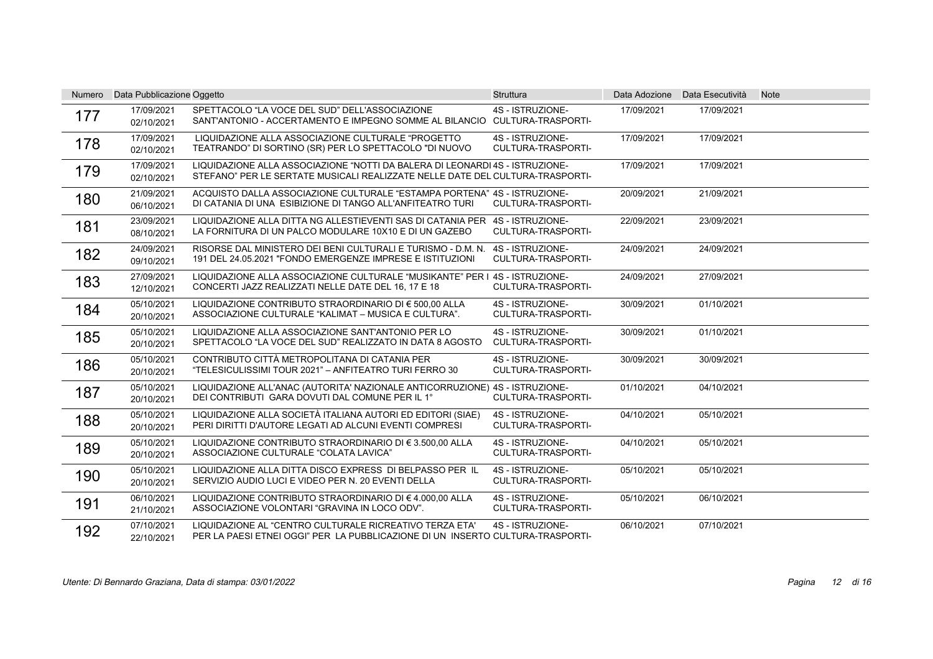| Numero | Data Pubblicazione Oggetto |                                                                                                                                                               | <b>Struttura</b>                              |            | Data Adozione Data Esecutività | <b>Note</b> |
|--------|----------------------------|---------------------------------------------------------------------------------------------------------------------------------------------------------------|-----------------------------------------------|------------|--------------------------------|-------------|
| 177    | 17/09/2021<br>02/10/2021   | SPETTACOLO "LA VOCE DEL SUD" DELL'ASSOCIAZIONE<br>SANT'ANTONIO - ACCERTAMENTO E IMPEGNO SOMME AL BILANCIO CULTURA-TRASPORTI-                                  | 4S - ISTRUZIONE-                              | 17/09/2021 | 17/09/2021                     |             |
| 178    | 17/09/2021<br>02/10/2021   | LIQUIDAZIONE ALLA ASSOCIAZIONE CULTURALE "PROGETTO<br>TEATRANDO" DI SORTINO (SR) PER LO SPETTACOLO "DI NUOVO                                                  | 4S - ISTRUZIONE-<br><b>CULTURA-TRASPORTI-</b> | 17/09/2021 | 17/09/2021                     |             |
| 179    | 17/09/2021<br>02/10/2021   | LIQUIDAZIONE ALLA ASSOCIAZIONE "NOTTI DA BALERA DI LEONARDI 4S - ISTRUZIONE-<br>STEFANO" PER LE SERTATE MUSICALI REALIZZATE NELLE DATE DEL CULTURA-TRASPORTI- |                                               | 17/09/2021 | 17/09/2021                     |             |
| 180    | 21/09/2021<br>06/10/2021   | ACQUISTO DALLA ASSOCIAZIONE CULTURALE "ESTAMPA PORTENA" 4S - ISTRUZIONE-<br>DI CATANIA DI UNA ESIBIZIONE DI TANGO ALL'ANFITEATRO TURI                         | <b>CULTURA-TRASPORTI-</b>                     | 20/09/2021 | 21/09/2021                     |             |
| 181    | 23/09/2021<br>08/10/2021   | LIQUIDAZIONE ALLA DITTA NG ALLESTIEVENTI SAS DI CATANIA PER 4S - ISTRUZIONE-<br>LA FORNITURA DI UN PALCO MODULARE 10X10 E DI UN GAZEBO                        | <b>CULTURA-TRASPORTI-</b>                     | 22/09/2021 | 23/09/2021                     |             |
| 182    | 24/09/2021<br>09/10/2021   | RISORSE DAL MINISTERO DEI BENI CULTURALI E TURISMO - D.M. N.<br>191 DEL 24.05.2021 "FONDO EMERGENZE IMPRESE E ISTITUZIONI                                     | 4S - ISTRUZIONE-<br>CULTURA-TRASPORTI-        | 24/09/2021 | 24/09/2021                     |             |
| 183    | 27/09/2021<br>12/10/2021   | LIQUIDAZIONE ALLA ASSOCIAZIONE CULTURALE "MUSIKANTE" PER I 4S - ISTRUZIONE-<br>CONCERTI JAZZ REALIZZATI NELLE DATE DEL 16, 17 E 18                            | <b>CULTURA-TRASPORTI-</b>                     | 24/09/2021 | 27/09/2021                     |             |
| 184    | 05/10/2021<br>20/10/2021   | LIQUIDAZIONE CONTRIBUTO STRAORDINARIO DI € 500,00 ALLA<br>ASSOCIAZIONE CULTURALE "KALIMAT - MUSICA E CULTURA".                                                | 4S - ISTRUZIONE-<br>CULTURA-TRASPORTI-        | 30/09/2021 | 01/10/2021                     |             |
| 185    | 05/10/2021<br>20/10/2021   | LIQUIDAZIONE ALLA ASSOCIAZIONE SANT'ANTONIO PER LO<br>SPETTACOLO "LA VOCE DEL SUD" REALIZZATO IN DATA 8 AGOSTO                                                | 4S - ISTRUZIONE-<br><b>CULTURA-TRASPORTI-</b> | 30/09/2021 | 01/10/2021                     |             |
| 186    | 05/10/2021<br>20/10/2021   | CONTRIBUTO CITTÀ METROPOLITANA DI CATANIA PER<br>"TELESICULISSIMI TOUR 2021" - ANFITEATRO TURI FERRO 30                                                       | 4S - ISTRUZIONE-<br>CULTURA-TRASPORTI-        | 30/09/2021 | 30/09/2021                     |             |
| 187    | 05/10/2021<br>20/10/2021   | LIQUIDAZIONE ALL'ANAC (AUTORITA' NAZIONALE ANTICORRUZIONE) 4S - ISTRUZIONE-<br>DEI CONTRIBUTI GARA DOVUTI DAL COMUNE PER IL 1°                                | <b>CULTURA-TRASPORTI-</b>                     | 01/10/2021 | 04/10/2021                     |             |
| 188    | 05/10/2021<br>20/10/2021   | LIQUIDAZIONE ALLA SOCIETÀ ITALIANA AUTORI ED EDITORI (SIAE)<br>PERI DIRITTI D'AUTORE LEGATI AD ALCUNI EVENTI COMPRESI                                         | 4S - ISTRUZIONE-<br>CULTURA-TRASPORTI-        | 04/10/2021 | 05/10/2021                     |             |
| 189    | 05/10/2021<br>20/10/2021   | LIQUIDAZIONE CONTRIBUTO STRAORDINARIO DI € 3.500,00 ALLA<br>ASSOCIAZIONE CULTURALE "COLATA LAVICA"                                                            | 4S - ISTRUZIONE-<br>CULTURA-TRASPORTI-        | 04/10/2021 | 05/10/2021                     |             |
| 190    | 05/10/2021<br>20/10/2021   | LIQUIDAZIONE ALLA DITTA DISCO EXPRESS DI BELPASSO PER IL<br>SERVIZIO AUDIO LUCI E VIDEO PER N. 20 EVENTI DELLA                                                | 4S - ISTRUZIONE-<br><b>CULTURA-TRASPORTI-</b> | 05/10/2021 | 05/10/2021                     |             |
| 191    | 06/10/2021<br>21/10/2021   | LIQUIDAZIONE CONTRIBUTO STRAORDINARIO DI € 4.000.00 ALLA<br>ASSOCIAZIONE VOLONTARI "GRAVINA IN LOCO ODV".                                                     | 4S - ISTRUZIONE-<br>CULTURA-TRASPORTI-        | 05/10/2021 | 06/10/2021                     |             |
| 192    | 07/10/2021<br>22/10/2021   | LIQUIDAZIONE AL "CENTRO CULTURALE RICREATIVO TERZA ETA"<br>PER LA PAESI ETNEI OGGI" PER LA PUBBLICAZIONE DI UN INSERTO CULTURA-TRASPORTI-                     | 4S - ISTRUZIONE-                              | 06/10/2021 | 07/10/2021                     |             |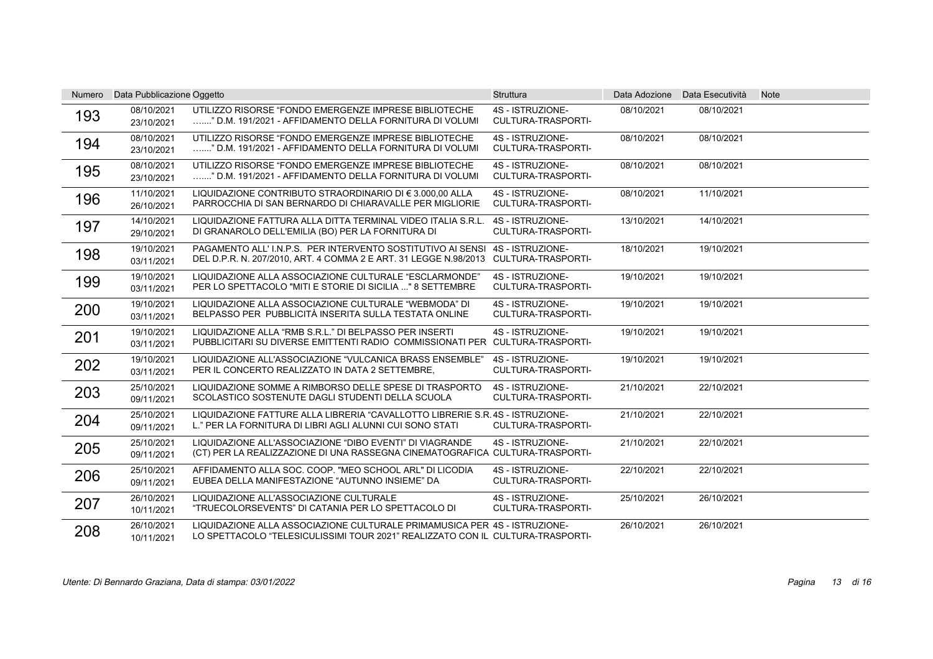| <b>Numero</b> | Data Pubblicazione Oggetto |                                                                                                                                                                   | Struttura                                     |            | Data Adozione Data Esecutività | <b>Note</b> |
|---------------|----------------------------|-------------------------------------------------------------------------------------------------------------------------------------------------------------------|-----------------------------------------------|------------|--------------------------------|-------------|
| 193           | 08/10/2021<br>23/10/2021   | UTILIZZO RISORSE "FONDO EMERGENZE IMPRESE BIBLIOTECHE<br>" D.M. 191/2021 - AFFIDAMENTO DELLA FORNITURA DI VOLUMI                                                  | 4S - ISTRUZIONE-<br><b>CULTURA-TRASPORTI-</b> | 08/10/2021 | 08/10/2021                     |             |
| 194           | 08/10/2021<br>23/10/2021   | UTILIZZO RISORSE "FONDO EMERGENZE IMPRESE BIBLIOTECHE<br>" D.M. 191/2021 - AFFIDAMENTO DELLA FORNITURA DI VOLUMI                                                  | 4S - ISTRUZIONE-<br><b>CULTURA-TRASPORTI-</b> | 08/10/2021 | 08/10/2021                     |             |
| 195           | 08/10/2021<br>23/10/2021   | UTILIZZO RISORSE "FONDO EMERGENZE IMPRESE BIBLIOTECHE<br>" D.M. 191/2021 - AFFIDAMENTO DELLA FORNITURA DI VOLUMI                                                  | 4S - ISTRUZIONE-<br><b>CULTURA-TRASPORTI-</b> | 08/10/2021 | 08/10/2021                     |             |
| 196           | 11/10/2021<br>26/10/2021   | LIQUIDAZIONE CONTRIBUTO STRAORDINARIO DI € 3.000.00 ALLA<br>PARROCCHIA DI SAN BERNARDO DI CHIARAVALLE PER MIGLIORIE                                               | 4S - ISTRUZIONE-<br>CULTURA-TRASPORTI-        | 08/10/2021 | 11/10/2021                     |             |
| 197           | 14/10/2021<br>29/10/2021   | LIQUIDAZIONE FATTURA ALLA DITTA TERMINAL VIDEO ITALIA S.R.L.<br>DI GRANAROLO DELL'EMILIA (BO) PER LA FORNITURA DI                                                 | 4S - ISTRUZIONE-<br><b>CULTURA-TRASPORTI-</b> | 13/10/2021 | 14/10/2021                     |             |
| 198           | 19/10/2021<br>03/11/2021   | PAGAMENTO ALL'IN P.S. PER INTERVENTO SOSTITUTIVO AI SENSI 4S - ISTRUZIONE-<br>DEL D.P.R. N. 207/2010, ART. 4 COMMA 2 E ART. 31 LEGGE N.98/2013 CULTURA-TRASPORTI- |                                               | 18/10/2021 | 19/10/2021                     |             |
| 199           | 19/10/2021<br>03/11/2021   | LIQUIDAZIONE ALLA ASSOCIAZIONE CULTURALE "ESCLARMONDE"<br>PER LO SPETTACOLO "MITI E STORIE DI SICILIA " 8 SETTEMBRE                                               | 4S - ISTRUZIONE-<br>CULTURA-TRASPORTI-        | 19/10/2021 | 19/10/2021                     |             |
| 200           | 19/10/2021<br>03/11/2021   | LIQUIDAZIONE ALLA ASSOCIAZIONE CULTURALE "WEBMODA" DI<br>BELPASSO PER PUBBLICITÀ INSERITA SULLA TESTATA ONLINE                                                    | 4S - ISTRUZIONE-<br>CULTURA-TRASPORTI-        | 19/10/2021 | 19/10/2021                     |             |
| 201           | 19/10/2021<br>03/11/2021   | LIQUIDAZIONE ALLA "RMB S.R.L." DI BELPASSO PER INSERTI<br>PUBBLICITARI SU DIVERSE EMITTENTI RADIO COMMISSIONATI PER CULTURA-TRASPORTI-                            | 4S - ISTRUZIONE-                              | 19/10/2021 | 19/10/2021                     |             |
| 202           | 19/10/2021<br>03/11/2021   | LIQUIDAZIONE ALL'ASSOCIAZIONE "VULCANICA BRASS ENSEMBLE"<br>PER IL CONCERTO REALIZZATO IN DATA 2 SETTEMBRE.                                                       | 4S - ISTRUZIONE-<br>CULTURA-TRASPORTI-        | 19/10/2021 | 19/10/2021                     |             |
| 203           | 25/10/2021<br>09/11/2021   | LIQUIDAZIONE SOMME A RIMBORSO DELLE SPESE DI TRASPORTO<br>SCOLASTICO SOSTENUTE DAGLI STUDENTI DELLA SCUOLA                                                        | 4S - ISTRUZIONE-<br>CULTURA-TRASPORTI-        | 21/10/2021 | 22/10/2021                     |             |
| 204           | 25/10/2021<br>09/11/2021   | LIQUIDAZIONE FATTURE ALLA LIBRERIA "CAVALLOTTO LIBRERIE S.R.4S - ISTRUZIONE-<br>L." PER LA FORNITURA DI LIBRI AGLI ALUNNI CUI SONO STATI                          | <b>CULTURA-TRASPORTI-</b>                     | 21/10/2021 | 22/10/2021                     |             |
| 205           | 25/10/2021<br>09/11/2021   | LIQUIDAZIONE ALL'ASSOCIAZIONE "DIBO EVENTI" DI VIAGRANDE<br>(CT) PER LA REALIZZAZIONE DI UNA RASSEGNA CINEMATOGRAFICA CULTURA-TRASPORTI-                          | 4S - ISTRUZIONE-                              | 21/10/2021 | 22/10/2021                     |             |
| 206           | 25/10/2021<br>09/11/2021   | AFFIDAMENTO ALLA SOC. COOP. "MEO SCHOOL ARL" DI LICODIA<br>EUBEA DELLA MANIFESTAZIONE "AUTUNNO INSIEME" DA                                                        | 4S - ISTRUZIONE-<br><b>CULTURA-TRASPORTI-</b> | 22/10/2021 | 22/10/2021                     |             |
| 207           | 26/10/2021<br>10/11/2021   | LIQUIDAZIONE ALL'ASSOCIAZIONE CULTURALE<br>"TRUECOLORSEVENTS" DI CATANIA PER LO SPETTACOLO DI                                                                     | 4S - ISTRUZIONE-<br>CULTURA-TRASPORTI-        | 25/10/2021 | 26/10/2021                     |             |
| 208           | 26/10/2021<br>10/11/2021   | LIQUIDAZIONE ALLA ASSOCIAZIONE CULTURALE PRIMAMUSICA PER 4S - ISTRUZIONE-<br>LO SPETTACOLO "TELESICULISSIMI TOUR 2021" REALIZZATO CON IL CULTURA-TRASPORTI-       |                                               | 26/10/2021 | 26/10/2021                     |             |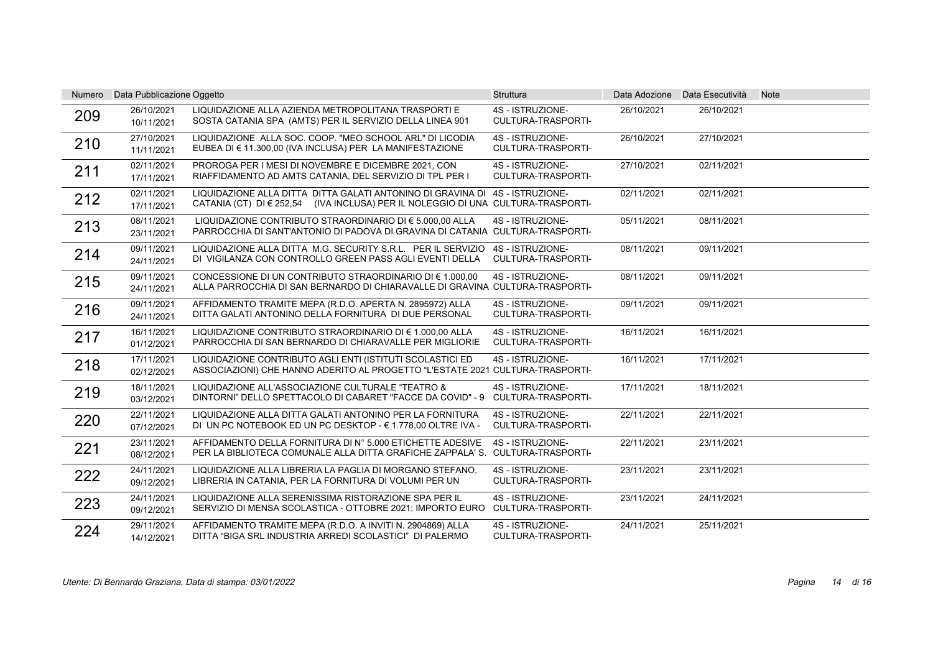| Numero | Data Pubblicazione Oggetto |                                                                                                                                                                  | Struttura                                     |            | Data Adozione Data Esecutività | <b>Note</b> |
|--------|----------------------------|------------------------------------------------------------------------------------------------------------------------------------------------------------------|-----------------------------------------------|------------|--------------------------------|-------------|
| 209    | 26/10/2021<br>10/11/2021   | LIQUIDAZIONE ALLA AZIENDA METROPOLITANA TRASPORTI E<br>SOSTA CATANIA SPA (AMTS) PER IL SERVIZIO DELLA LINEA 901                                                  | 4S - ISTRUZIONE-<br>CULTURA-TRASPORTI-        | 26/10/2021 | 26/10/2021                     |             |
| 210    | 27/10/2021<br>11/11/2021   | LIQUIDAZIONE ALLA SOC. COOP. "MEO SCHOOL ARL" DI LICODIA<br>EUBEA DI € 11.300,00 (IVA INCLUSA) PER LA MANIFESTAZIONE                                             | 4S - ISTRUZIONE-<br><b>CULTURA-TRASPORTI-</b> | 26/10/2021 | 27/10/2021                     |             |
| 211    | 02/11/2021<br>17/11/2021   | PROROGA PER I MESI DI NOVEMBRE E DICEMBRE 2021, CON<br>RIAFFIDAMENTO AD AMTS CATANIA, DEL SERVIZIO DI TPL PER I                                                  | 4S - ISTRUZIONE-<br><b>CULTURA-TRASPORTI-</b> | 27/10/2021 | 02/11/2021                     |             |
| 212    | 02/11/2021<br>17/11/2021   | LIQUIDAZIONE ALLA DITTA DITTA GALATI ANTONINO DI GRAVINA DI 4S - ISTRUZIONE-<br>CATANIA (CT) DI € 252,54 (IVA INCLUSA) PER IL NOLEGGIO DI UNA CULTURA-TRASPORTI- |                                               | 02/11/2021 | 02/11/2021                     |             |
| 213    | 08/11/2021<br>23/11/2021   | LIQUIDAZIONE CONTRIBUTO STRAORDINARIO DI € 5.000,00 ALLA<br>PARROCCHIA DI SANT'ANTONIO DI PADOVA DI GRAVINA DI CATANIA CULTURA-TRASPORTI-                        | 4S - ISTRUZIONE-                              | 05/11/2021 | 08/11/2021                     |             |
| 214    | 09/11/2021<br>24/11/2021   | LIQUIDAZIONE ALLA DITTA M.G. SECURITY S.R.L. PER IL SERVIZIO<br>DI VIGILANZA CON CONTROLLO GREEN PASS AGLI EVENTI DELLA                                          | 4S - ISTRUZIONE-<br><b>CULTURA-TRASPORTI-</b> | 08/11/2021 | 09/11/2021                     |             |
| 215    | 09/11/2021<br>24/11/2021   | CONCESSIONE DI UN CONTRIBUTO STRAORDINARIO DI $\epsilon$ 1.000.00<br>ALLA PARROCCHIA DI SAN BERNARDO DI CHIARAVALLE DI GRAVINA CULTURA-TRASPORTI-                | 4S - ISTRUZIONE-                              | 08/11/2021 | 09/11/2021                     |             |
| 216    | 09/11/2021<br>24/11/2021   | AFFIDAMENTO TRAMITE MEPA (R.D.O. APERTA N. 2895972) ALLA<br>DITTA GALATI ANTONINO DELLA FORNITURA DI DUE PERSONAL                                                | 4S - ISTRUZIONE-<br>CULTURA-TRASPORTI-        | 09/11/2021 | 09/11/2021                     |             |
| 217    | 16/11/2021<br>01/12/2021   | LIQUIDAZIONE CONTRIBUTO STRAORDINARIO DI € 1.000,00 ALLA<br>PARROCCHIA DI SAN BERNARDO DI CHIARAVALLE PER MIGLIORIE                                              | 4S - ISTRUZIONE-<br><b>CULTURA-TRASPORTI-</b> | 16/11/2021 | 16/11/2021                     |             |
| 218    | 17/11/2021<br>02/12/2021   | LIQUIDAZIONE CONTRIBUTO AGLI ENTI (ISTITUTI SCOLASTICI ED<br>ASSOCIAZIONI) CHE HANNO ADERITO AL PROGETTO "L'ESTATE 2021 CULTURA-TRASPORTI-                       | 4S - ISTRUZIONE-                              | 16/11/2021 | 17/11/2021                     |             |
| 219    | 18/11/2021<br>03/12/2021   | LIQUIDAZIONE ALL'ASSOCIAZIONE CULTURALE "TEATRO &<br>DINTORNI" DELLO SPETTACOLO DI CABARET "FACCE DA COVID" - 9                                                  | 4S - ISTRUZIONE-<br>CULTURA-TRASPORTI-        | 17/11/2021 | 18/11/2021                     |             |
| 220    | 22/11/2021<br>07/12/2021   | LIQUIDAZIONE ALLA DITTA GALATI ANTONINO PER LA FORNITURA<br>DI UN PC NOTEBOOK ED UN PC DESKTOP - € 1.778,00 OLTRE IVA -                                          | 4S - ISTRUZIONE-<br>CULTURA-TRASPORTI-        | 22/11/2021 | 22/11/2021                     |             |
| 221    | 23/11/2021<br>08/12/2021   | AFFIDAMENTO DELLA FORNITURA DI Nº 5.000 ETICHETTE ADESIVE<br>PER LA BIBLIOTECA COMUNALE ALLA DITTA GRAFICHE ZAPPALA' S. CULTURA-TRASPORTI-                       | 4S - ISTRUZIONE-                              | 22/11/2021 | 23/11/2021                     |             |
| 222    | 24/11/2021<br>09/12/2021   | LIQUIDAZIONE ALLA LIBRERIA LA PAGLIA DI MORGANO STEFANO.<br>LIBRERIA IN CATANIA, PER LA FORNITURA DI VOLUMI PER UN                                               | 4S - ISTRUZIONE-<br><b>CULTURA-TRASPORTI-</b> | 23/11/2021 | 23/11/2021                     |             |
| 223    | 24/11/2021<br>09/12/2021   | LIQUIDAZIONE ALLA SERENISSIMA RISTORAZIONE SPA PER IL<br>SERVIZIO DI MENSA SCOLASTICA - OTTOBRE 2021; IMPORTO EURO                                               | 4S - ISTRUZIONE-<br>CULTURA-TRASPORTI-        | 23/11/2021 | 24/11/2021                     |             |
| 224    | 29/11/2021<br>14/12/2021   | AFFIDAMENTO TRAMITE MEPA (R.D.O. A INVITI N. 2904869) ALLA<br>DITTA "BIGA SRL INDUSTRIA ARREDI SCOLASTICI" DI PALERMO                                            | 4S - ISTRUZIONE-<br><b>CULTURA-TRASPORTI-</b> | 24/11/2021 | 25/11/2021                     |             |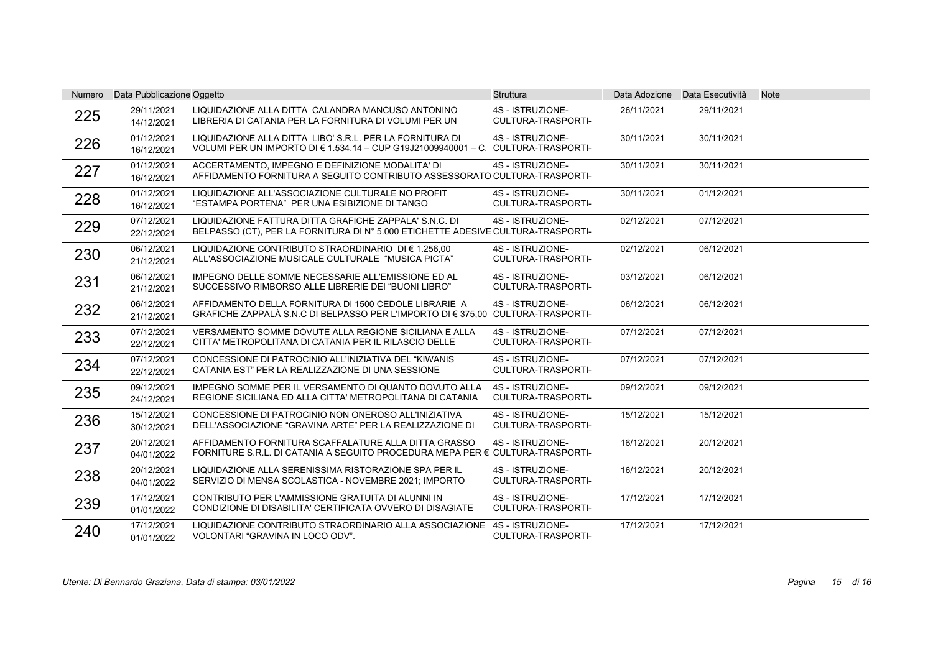| Numero | Data Pubblicazione Oggetto |                                                                                                                                               | <b>Struttura</b>                              |            | Data Adozione Data Esecutività | <b>Note</b> |
|--------|----------------------------|-----------------------------------------------------------------------------------------------------------------------------------------------|-----------------------------------------------|------------|--------------------------------|-------------|
| 225    | 29/11/2021<br>14/12/2021   | LIQUIDAZIONE ALLA DITTA CALANDRA MANCUSO ANTONINO<br>LIBRERIA DI CATANIA PER LA FORNITURA DI VOLUMI PER UN                                    | 4S - ISTRUZIONE-<br><b>CULTURA-TRASPORTI-</b> | 26/11/2021 | 29/11/2021                     |             |
| 226    | 01/12/2021<br>16/12/2021   | LIQUIDAZIONE ALLA DITTA LIBO' S.R.L. PER LA FORNITURA DI<br>VOLUMI PER UN IMPORTO DI € 1.534,14 - CUP G19J21009940001 - C. CULTURA-TRASPORTI- | 4S - ISTRUZIONE-                              | 30/11/2021 | 30/11/2021                     |             |
| 227    | 01/12/2021<br>16/12/2021   | ACCERTAMENTO. IMPEGNO E DEFINIZIONE MODALITA' DI<br>AFFIDAMENTO FORNITURA A SEGUITO CONTRIBUTO ASSESSORATO CULTURA-TRASPORTI-                 | 4S - ISTRUZIONE-                              | 30/11/2021 | 30/11/2021                     |             |
| 228    | 01/12/2021<br>16/12/2021   | LIQUIDAZIONE ALL'ASSOCIAZIONE CULTURALE NO PROFIT<br>"ESTAMPA PORTENA" PER UNA ESIBIZIONE DI TANGO                                            | 4S - ISTRUZIONE-<br>CULTURA-TRASPORTI-        | 30/11/2021 | 01/12/2021                     |             |
| 229    | 07/12/2021<br>22/12/2021   | LIQUIDAZIONE FATTURA DITTA GRAFICHE ZAPPALA' S.N.C. DI<br>BELPASSO (CT), PER LA FORNITURA DI N° 5.000 ETICHETTE ADESIVE CULTURA-TRASPORTI-    | 4S - ISTRUZIONE-                              | 02/12/2021 | 07/12/2021                     |             |
| 230    | 06/12/2021<br>21/12/2021   | LIQUIDAZIONE CONTRIBUTO STRAORDINARIO DI € 1.256.00<br>ALL'ASSOCIAZIONE MUSICALE CULTURALE "MUSICA PICTA"                                     | 4S - ISTRUZIONE-<br><b>CULTURA-TRASPORTI-</b> | 02/12/2021 | 06/12/2021                     |             |
| 231    | 06/12/2021<br>21/12/2021   | IMPEGNO DELLE SOMME NECESSARIE ALL'EMISSIONE ED AL<br>SUCCESSIVO RIMBORSO ALLE LIBRERIE DEI "BUONI LIBRO"                                     | 4S - ISTRUZIONE-<br>CULTURA-TRASPORTI-        | 03/12/2021 | 06/12/2021                     |             |
| 232    | 06/12/2021<br>21/12/2021   | AFFIDAMENTO DELLA FORNITURA DI 1500 CEDOLE LIBRARIE A<br>GRAFICHE ZAPPALÀ S.N.C DI BELPASSO PER L'IMPORTO DI € 375,00 CULTURA-TRASPORTI-      | 4S - ISTRUZIONE-                              | 06/12/2021 | 06/12/2021                     |             |
| 233    | 07/12/2021<br>22/12/2021   | VERSAMENTO SOMME DOVUTE ALLA REGIONE SICILIANA E ALLA<br>CITTA' METROPOLITANA DI CATANIA PER IL RILASCIO DELLE                                | 4S - ISTRUZIONE-<br><b>CULTURA-TRASPORTI-</b> | 07/12/2021 | 07/12/2021                     |             |
| 234    | 07/12/2021<br>22/12/2021   | CONCESSIONE DI PATROCINIO ALL'INIZIATIVA DEL "KIWANIS<br>CATANIA EST" PER LA REALIZZAZIONE DI UNA SESSIONE                                    | 4S - ISTRUZIONE-<br><b>CULTURA-TRASPORTI-</b> | 07/12/2021 | 07/12/2021                     |             |
| 235    | 09/12/2021<br>24/12/2021   | IMPEGNO SOMME PER IL VERSAMENTO DI QUANTO DOVUTO ALLA<br>REGIONE SICILIANA ED ALLA CITTA' METROPOLITANA DI CATANIA                            | 4S - ISTRUZIONE-<br>CULTURA-TRASPORTI-        | 09/12/2021 | 09/12/2021                     |             |
| 236    | 15/12/2021<br>30/12/2021   | CONCESSIONE DI PATROCINIO NON ONEROSO ALL'INIZIATIVA<br>DELL'ASSOCIAZIONE "GRAVINA ARTE" PER LA REALIZZAZIONE DI                              | 4S - ISTRUZIONE-<br>CULTURA-TRASPORTI-        | 15/12/2021 | 15/12/2021                     |             |
| 237    | 20/12/2021<br>04/01/2022   | AFFIDAMENTO FORNITURA SCAFFALATURE ALLA DITTA GRASSO<br>FORNITURE S.R.L. DI CATANIA A SEGUITO PROCEDURA MEPA PER € CULTURA-TRASPORTI-         | 4S - ISTRUZIONE-                              | 16/12/2021 | 20/12/2021                     |             |
| 238    | 20/12/2021<br>04/01/2022   | LIQUIDAZIONE ALLA SERENISSIMA RISTORAZIONE SPA PER IL<br>SERVIZIO DI MENSA SCOLASTICA - NOVEMBRE 2021; IMPORTO                                | 4S - ISTRUZIONE-<br>CULTURA-TRASPORTI-        | 16/12/2021 | 20/12/2021                     |             |
| 239    | 17/12/2021<br>01/01/2022   | CONTRIBUTO PER L'AMMISSIONE GRATUITA DI ALUNNI IN<br>CONDIZIONE DI DISABILITA' CERTIFICATA OVVERO DI DISAGIATE                                | 4S - ISTRUZIONE-<br>CULTURA-TRASPORTI-        | 17/12/2021 | 17/12/2021                     |             |
| 240    | 17/12/2021<br>01/01/2022   | LIQUIDAZIONE CONTRIBUTO STRAORDINARIO ALLA ASSOCIAZIONE 4S - ISTRUZIONE-<br>VOLONTARI "GRAVINA IN LOCO ODV".                                  | CULTURA-TRASPORTI-                            | 17/12/2021 | 17/12/2021                     |             |